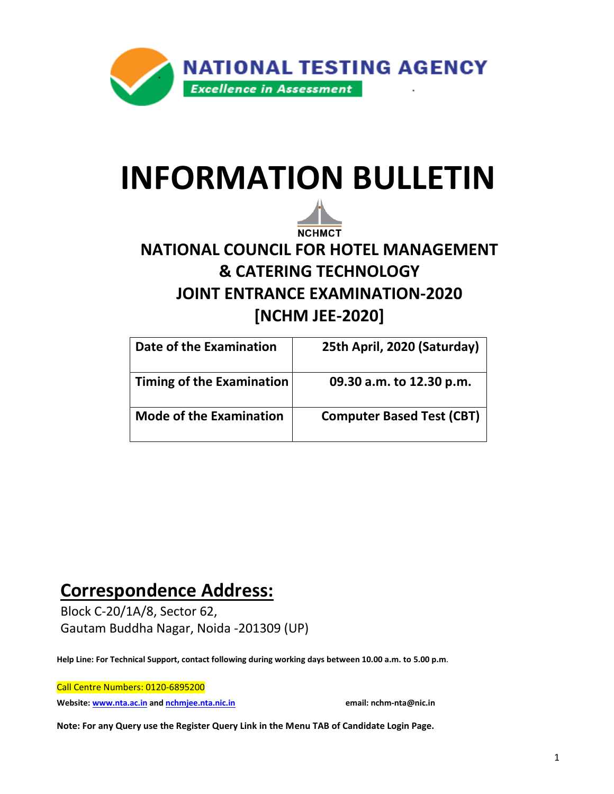

# **INFORMATION BULLETIN**



# **NATIONAL COUNCIL FOR HOTEL MANAGEMENT & CATERING TECHNOLOGY JOINT ENTRANCE EXAMINATION-2020 [NCHM JEE-2020]**

| Date of the Examination        | 25th April, 2020 (Saturday)      |
|--------------------------------|----------------------------------|
| Timing of the Examination      | 09.30 a.m. to 12.30 p.m.         |
| <b>Mode of the Examination</b> | <b>Computer Based Test (CBT)</b> |

# **Correspondence Address:**

Block C-20/1A/8, Sector 62, Gautam Buddha Nagar, Noida -201309 (UP)

**Help Line: For Technical Support, contact following during working days between 10.00 a.m. to 5.00 p.m**.

Call Centre Numbers: 0120-6895200

**Website[: www.nta.ac.in](http://www.nta.ac.in/) an[d nchmjee.nta.nic.in](mailto:nchmjee.nta.nic.in) email: nchm-nta@nic.in**

**Note: For any Query use the Register Query Link in the Menu TAB of Candidate Login Page.**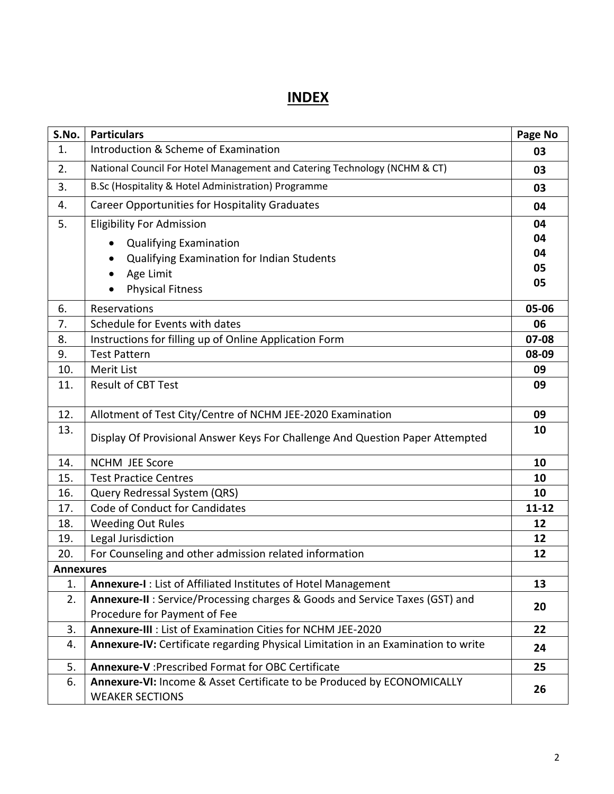## **INDEX**

| S.No.            | <b>Particulars</b>                                                                                          | Page No   |
|------------------|-------------------------------------------------------------------------------------------------------------|-----------|
| 1.               | Introduction & Scheme of Examination                                                                        | 03        |
| 2.               | National Council For Hotel Management and Catering Technology (NCHM & CT)                                   | 03        |
| 3.               | B.Sc (Hospitality & Hotel Administration) Programme                                                         | 03        |
| 4.               | <b>Career Opportunities for Hospitality Graduates</b>                                                       | 04        |
| 5.               | <b>Eligibility For Admission</b>                                                                            | 04        |
|                  | <b>Qualifying Examination</b>                                                                               | 04        |
|                  | Qualifying Examination for Indian Students                                                                  | 04        |
|                  | Age Limit                                                                                                   | 05        |
|                  | <b>Physical Fitness</b>                                                                                     | 05        |
| 6.               | Reservations                                                                                                | 05-06     |
| 7.               | Schedule for Events with dates                                                                              | 06        |
| 8.               | Instructions for filling up of Online Application Form                                                      | 07-08     |
| 9.               | <b>Test Pattern</b>                                                                                         | 08-09     |
| 10.              | <b>Merit List</b>                                                                                           | 09        |
| 11.              | <b>Result of CBT Test</b>                                                                                   | 09        |
| 12.              | Allotment of Test City/Centre of NCHM JEE-2020 Examination                                                  | 09        |
| 13.              | Display Of Provisional Answer Keys For Challenge And Question Paper Attempted                               | 10        |
| 14.              | <b>NCHM JEE Score</b>                                                                                       | 10        |
| 15.              | <b>Test Practice Centres</b>                                                                                | 10        |
| 16.              | Query Redressal System (QRS)                                                                                | 10        |
| 17.              | Code of Conduct for Candidates                                                                              | $11 - 12$ |
| 18.              | <b>Weeding Out Rules</b>                                                                                    | 12        |
| 19.              | Legal Jurisdiction                                                                                          | 12        |
| 20.              | For Counseling and other admission related information                                                      | 12        |
| <b>Annexures</b> |                                                                                                             |           |
| 1.               | Annexure-I: List of Affiliated Institutes of Hotel Management                                               | 13        |
| 2.               | Annexure-II: Service/Processing charges & Goods and Service Taxes (GST) and<br>Procedure for Payment of Fee | 20        |
|                  | Annexure-III : List of Examination Cities for NCHM JEE-2020                                                 |           |
| 3.<br>4.         | Annexure-IV: Certificate regarding Physical Limitation in an Examination to write                           | 22        |
|                  |                                                                                                             | 24        |
| 5.               | Annexure-V : Prescribed Format for OBC Certificate                                                          | 25        |
| 6.               | Annexure-VI: Income & Asset Certificate to be Produced by ECONOMICALLY<br><b>WEAKER SECTIONS</b>            | 26        |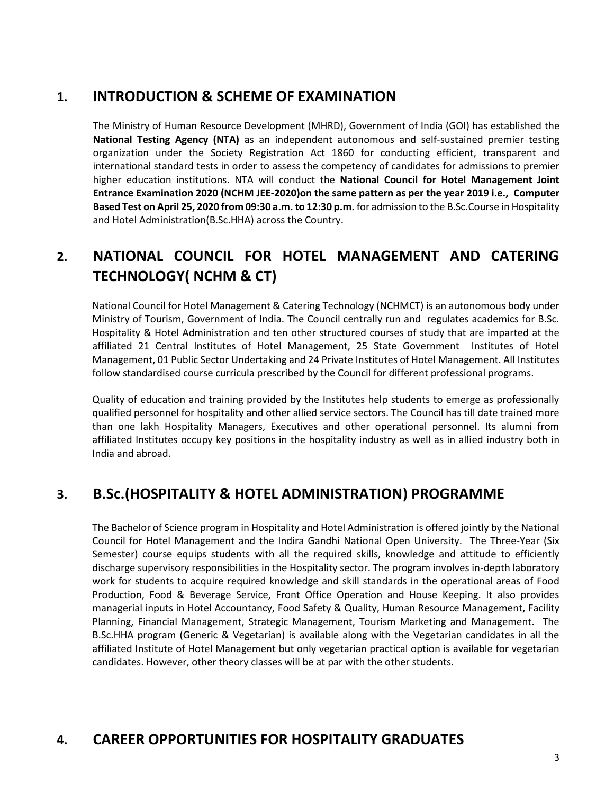### **1. INTRODUCTION & SCHEME OF EXAMINATION**

The Ministry of Human Resource Development (MHRD), Government of India (GOI) has established the **National Testing Agency (NTA)** as an independent autonomous and self-sustained premier testing organization under the Society Registration Act 1860 for conducting efficient, transparent and international standard tests in order to assess the competency of candidates for admissions to premier higher education institutions. NTA will conduct the **National Council for Hotel Management Joint Entrance Examination 2020 (NCHM JEE-2020)on the same pattern as per the year 2019 i.e., Computer Based Test on April 25, 2020 from 09:30 a.m. to 12:30 p.m.** for admission to the B.Sc.Course in Hospitality and Hotel Administration(B.Sc.HHA) across the Country.

### **2. NATIONAL COUNCIL FOR HOTEL MANAGEMENT AND CATERING TECHNOLOGY( NCHM & CT)**

National Council for Hotel Management & Catering Technology (NCHMCT) is an autonomous body under Ministry of Tourism, Government of India. The Council centrally run and regulates academics for B.Sc. Hospitality & Hotel Administration and ten other structured courses of study that are imparted at the affiliated 21 Central Institutes of Hotel Management, 25 State Government Institutes of Hotel Management, 01 Public Sector Undertaking and 24 Private Institutes of Hotel Management. All Institutes follow standardised course curricula prescribed by the Council for different professional programs.

Quality of education and training provided by the Institutes help students to emerge as professionally qualified personnel for hospitality and other allied service sectors. The Council has till date trained more than one lakh Hospitality Managers, Executives and other operational personnel. Its alumni from affiliated Institutes occupy key positions in the hospitality industry as well as in allied industry both in India and abroad.

### **3. B.Sc.(HOSPITALITY & HOTEL ADMINISTRATION) PROGRAMME**

The Bachelor of Science program in Hospitality and Hotel Administration is offered jointly by the National Council for Hotel Management and the Indira Gandhi National Open University. The Three-Year (Six Semester) course equips students with all the required skills, knowledge and attitude to efficiently discharge supervisory responsibilities in the Hospitality sector. The program involves in-depth laboratory work for students to acquire required knowledge and skill standards in the operational areas of Food Production, Food & Beverage Service, Front Office Operation and House Keeping. It also provides managerial inputs in Hotel Accountancy, Food Safety & Quality, Human Resource Management, Facility Planning, Financial Management, Strategic Management, Tourism Marketing and Management. The B.Sc.HHA program (Generic & Vegetarian) is available along with the Vegetarian candidates in all the affiliated Institute of Hotel Management but only vegetarian practical option is available for vegetarian candidates. However, other theory classes will be at par with the other students.

### **4. CAREER OPPORTUNITIES FOR HOSPITALITY GRADUATES**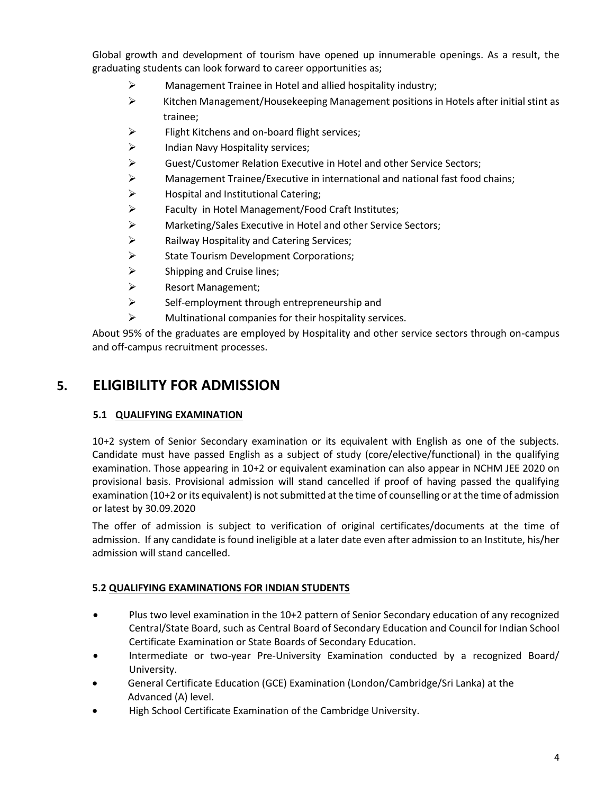Global growth and development of tourism have opened up innumerable openings. As a result, the graduating students can look forward to career opportunities as;

- ➢ Management Trainee in Hotel and allied hospitality industry;
- ➢ Kitchen Management/Housekeeping Management positions in Hotels after initial stint as trainee;
- $\triangleright$  Flight Kitchens and on-board flight services;
- ➢ Indian Navy Hospitality services;
- ➢ Guest/Customer Relation Executive in Hotel and other Service Sectors;
- $\triangleright$  Management Trainee/Executive in international and national fast food chains;
- ➢ Hospital and Institutional Catering;
- ➢ Faculty in Hotel Management/Food Craft Institutes;
- ➢ Marketing/Sales Executive in Hotel and other Service Sectors;
- ➢ Railway Hospitality and Catering Services;
- ➢ State Tourism Development Corporations;
- $\triangleright$  Shipping and Cruise lines;
- ➢ Resort Management;
- ➢ Self-employment through entrepreneurship and
- $\triangleright$  Multinational companies for their hospitality services.

About 95% of the graduates are employed by Hospitality and other service sectors through on-campus and off-campus recruitment processes.

### **5. ELIGIBILITY FOR ADMISSION**

#### **5.1 QUALIFYING EXAMINATION**

10+2 system of Senior Secondary examination or its equivalent with English as one of the subjects. Candidate must have passed English as a subject of study (core/elective/functional) in the qualifying examination. Those appearing in 10+2 or equivalent examination can also appear in NCHM JEE 2020 on provisional basis. Provisional admission will stand cancelled if proof of having passed the qualifying examination (10+2 or its equivalent) is not submitted at the time of counselling or at the time of admission or latest by 30.09.2020

The offer of admission is subject to verification of original certificates/documents at the time of admission. If any candidate is found ineligible at a later date even after admission to an Institute, his/her admission will stand cancelled.

#### **5.2 QUALIFYING EXAMINATIONS FOR INDIAN STUDENTS**

- Plus two level examination in the 10+2 pattern of Senior Secondary education of any recognized Central/State Board, such as Central Board of Secondary Education and Council for Indian School Certificate Examination or State Boards of Secondary Education.
- Intermediate or two-year Pre-University Examination conducted by a recognized Board/ University.
- General Certificate Education (GCE) Examination (London/Cambridge/Sri Lanka) at the Advanced (A) level.
- High School Certificate Examination of the Cambridge University.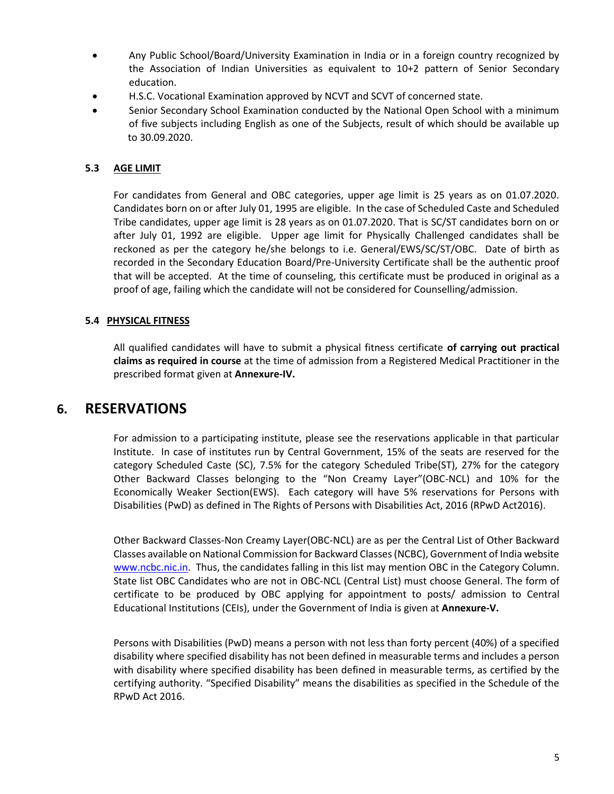- Any Public School/Board/University Examination in India or in a foreign country recognized by the Association of Indian Universities as equivalent to 10+2 pattern of Senior Secondary education.
- H.S.C. Vocational Examination approved by NCVT and SCVT of concerned state.
- Senior Secondary School Examination conducted by the National Open School with a minimum of five subjects including English as one of the Subjects, result of which should be available up to 30.09.2020.

#### **5.3 AGE LIMIT**

For candidates from General and OBC categories, upper age limit is 25 years as on 01.07.2020. Candidates born on or after July 01, 1995 are eligible. In the case of Scheduled Caste and Scheduled Tribe candidates, upper age limit is 28 years as on 01.07.2020. That is SC/ST candidates born on or after July 01, 1992 are eligible. Upper age limit for Physically Challenged candidates shall be reckoned as per the category he/she belongs to i.e. General/EWS/SC/ST/OBC. Date of birth as recorded in the Secondary Education Board/Pre-University Certificate shall be the authentic proof that will be accepted. At the time of counseling, this certificate must be produced in original as a proof of age, failing which the candidate will not be considered for Counselling/admission.

#### **5.4 PHYSICAL FITNESS**

All qualified candidates will have to submit a physical fitness certificate **of carrying out practical claims as required in course** at the time of admission from a Registered Medical Practitioner in the prescribed format given at **Annexure-IV.**

#### **6. RESERVATIONS**

For admission to a participating institute, please see the reservations applicable in that particular Institute. In case of institutes run by Central Government, 15% of the seats are reserved for the category Scheduled Caste (SC), 7.5% for the category Scheduled Tribe(ST), 27% for the category Other Backward Classes belonging to the "Non Creamy Layer"(OBC-NCL) and 10% for the Economically Weaker Section(EWS). Each category will have 5% reservations for Persons with Disabilities (PwD) as defined in The Rights of Persons with Disabilities Act, 2016 (RPwD Act2016).

Other Backward Classes-Non Creamy Layer(OBC-NCL) are as per the Central List of Other Backward Classes available on National Commission for Backward Classes (NCBC), Government of India website [www.ncbc.nic.in.](http://www.ncbc.nic.in/) Thus, the candidates falling in this list may mention OBC in the Category Column. State list OBC Candidates who are not in OBC-NCL (Central List) must choose General. The form of certificate to be produced by OBC applying for appointment to posts/ admission to Central Educational Institutions (CEIs), under the Government of India is given at **Annexure-V.**

Persons with Disabilities (PwD) means a person with not less than forty percent (40%) of a specified disability where specified disability has not been defined in measurable terms and includes a person with disability where specified disability has been defined in measurable terms, as certified by the certifying authority. "Specified Disability" means the disabilities as specified in the Schedule of the RPwD Act 2016.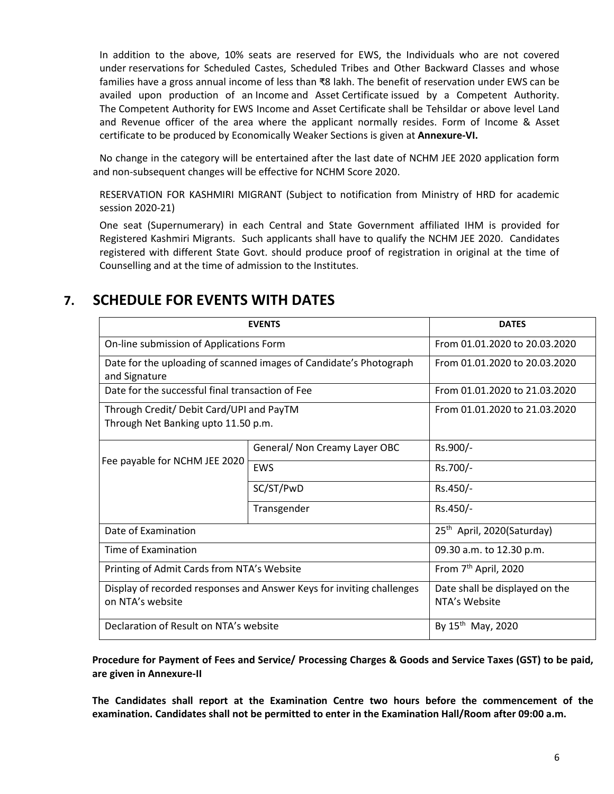In addition to the above, 10% seats are reserved for EWS, the Individuals who are not covered under reservations for Scheduled Castes, Scheduled Tribes and Other Backward Classes and whose families have a gross annual income of less than ₹8 lakh. The benefit of reservation under EWS can be availed upon production of an Income and Asset Certificate issued by a Competent Authority. The Competent Authority for EWS Income and Asset Certificate shall be Tehsildar or above level Land and Revenue officer of the area where the applicant normally resides. Form of Income & Asset certificate to be produced by Economically Weaker Sections is given at **Annexure-VI.**

No change in the category will be entertained after the last date of NCHM JEE 2020 application form and non-subsequent changes will be effective for NCHM Score 2020.

RESERVATION FOR KASHMIRI MIGRANT (Subject to notification from Ministry of HRD for academic session 2020-21)

One seat (Supernumerary) in each Central and State Government affiliated IHM is provided for Registered Kashmiri Migrants. Such applicants shall have to qualify the NCHM JEE 2020. Candidates registered with different State Govt. should produce proof of registration in original at the time of Counselling and at the time of admission to the Institutes.

#### **7. SCHEDULE FOR EVENTS WITH DATES**

|                                                                                           | <b>EVENTS</b>                 | <b>DATES</b>                                    |
|-------------------------------------------------------------------------------------------|-------------------------------|-------------------------------------------------|
| On-line submission of Applications Form                                                   |                               | From 01.01.2020 to 20.03.2020                   |
| Date for the uploading of scanned images of Candidate's Photograph<br>and Signature       |                               | From 01.01.2020 to 20.03.2020                   |
| Date for the successful final transaction of Fee                                          |                               | From 01.01.2020 to 21.03.2020                   |
| Through Credit/ Debit Card/UPI and PayTM<br>Through Net Banking upto 11.50 p.m.           |                               | From 01.01.2020 to 21.03.2020                   |
|                                                                                           | General/ Non Creamy Layer OBC | Rs.900/-                                        |
| Fee payable for NCHM JEE 2020                                                             | EWS                           | Rs.700/-                                        |
|                                                                                           | SC/ST/PwD                     | Rs.450/-                                        |
|                                                                                           | Transgender                   | Rs.450/-                                        |
| Date of Examination                                                                       |                               | 25 <sup>th</sup> April, 2020(Saturday)          |
| Time of Examination                                                                       |                               |                                                 |
| Printing of Admit Cards from NTA's Website                                                |                               | From 7 <sup>th</sup> April, 2020                |
| Display of recorded responses and Answer Keys for inviting challenges<br>on NTA's website |                               | Date shall be displayed on the<br>NTA's Website |
| Declaration of Result on NTA's website                                                    |                               | By 15 <sup>th</sup> May, 2020                   |

**Procedure for Payment of Fees and Service/ Processing Charges & Goods and Service Taxes (GST) to be paid, are given in Annexure-II**

**The Candidates shall report at the Examination Centre two hours before the commencement of the examination. Candidates shall not be permitted to enter in the Examination Hall/Room after 09:00 a.m.**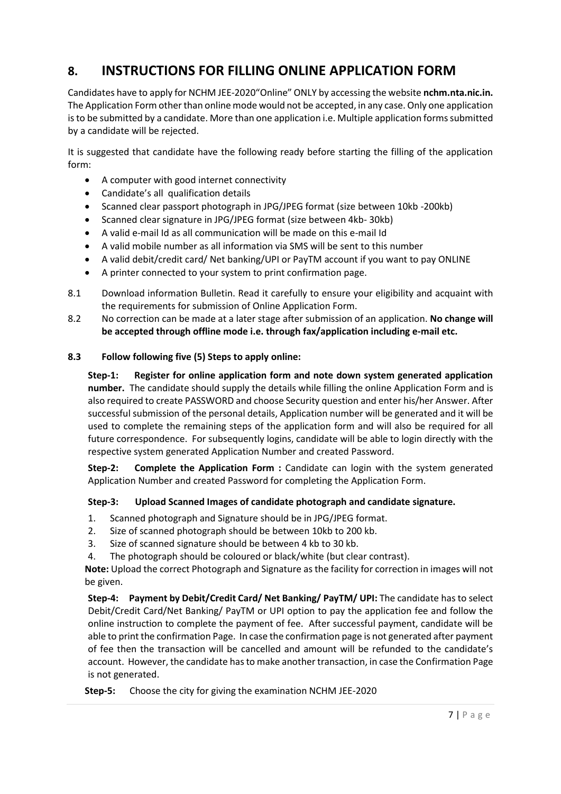### **8. INSTRUCTIONS FOR FILLING ONLINE APPLICATION FORM**

Candidates have to apply for NCHM JEE-2020"Online" ONLY by accessing the website **[nchm.nta.nic.in.](http://www.ntanchm.nic.in/)** The Application Form other than online mode would not be accepted, in any case. Only one application is to be submitted by a candidate. More than one application i.e. Multiple application forms submitted by a candidate will be rejected.

It is suggested that candidate have the following ready before starting the filling of the application form:

- A computer with good internet connectivity
- Candidate's all qualification details
- Scanned clear passport photograph in JPG/JPEG format (size between 10kb -200kb)
- Scanned clear signature in JPG/JPEG format (size between 4kb- 30kb)
- A valid e-mail Id as all communication will be made on this e-mail Id
- A valid mobile number as all information via SMS will be sent to this number
- A valid debit/credit card/ Net banking/UPI or PayTM account if you want to pay ONLINE
- A printer connected to your system to print confirmation page.
- 8.1 Download information Bulletin. Read it carefully to ensure your eligibility and acquaint with the requirements for submission of Online Application Form.
- 8.2 No correction can be made at a later stage after submission of an application. **No change will be accepted through offline mode i.e. through fax/application including e-mail etc.**

#### **8.3 Follow following five (5) Steps to apply online:**

**Step-1: Register for online application form and note down system generated application number.** The candidate should supply the details while filling the online Application Form and is also required to create PASSWORD and choose Security question and enter his/her Answer. After successful submission of the personal details, Application number will be generated and it will be used to complete the remaining steps of the application form and will also be required for all future correspondence. For subsequently logins, candidate will be able to login directly with the respective system generated Application Number and created Password.

**Step-2: Complete the Application Form :** Candidate can login with the system generated Application Number and created Password for completing the Application Form.

#### **Step-3: Upload Scanned Images of candidate photograph and candidate signature.**

- 1. Scanned photograph and Signature should be in JPG/JPEG format.
- 2. Size of scanned photograph should be between 10kb to 200 kb.
- 3. Size of scanned signature should be between 4 kb to 30 kb.
- 4. The photograph should be coloured or black/white (but clear contrast).

**Note:** Upload the correct Photograph and Signature as the facility for correction in images will not be given.

**Step-4: Payment by Debit/Credit Card/ Net Banking/ PayTM/ UPI:** The candidate has to select Debit/Credit Card/Net Banking/ PayTM or UPI option to pay the application fee and follow the online instruction to complete the payment of fee. After successful payment, candidate will be able to print the confirmation Page. In case the confirmation page is not generated after payment of fee then the transaction will be cancelled and amount will be refunded to the candidate's account. However, the candidate has to make another transaction, in case the Confirmation Page is not generated.

**Step-5:** Choose the city for giving the examination NCHM JEE-2020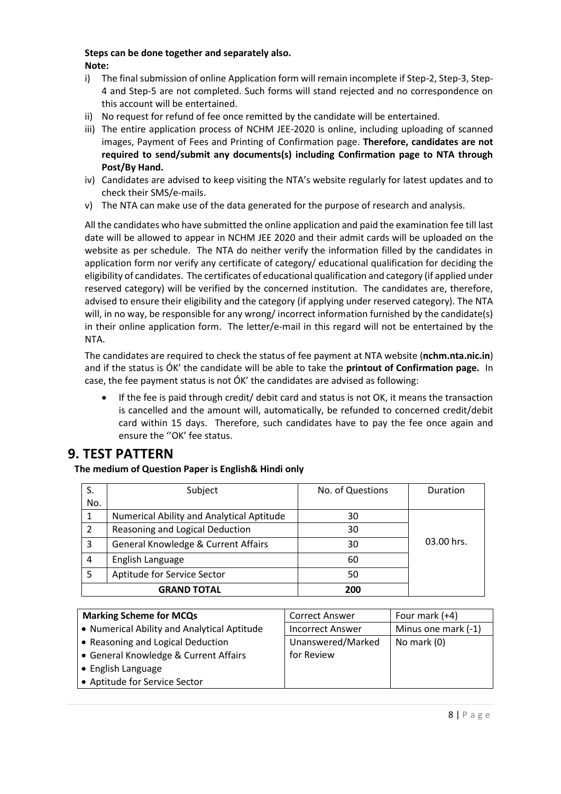#### **Steps can be done together and separately also. Note:**

- i) The final submission of online Application form will remain incomplete if Step-2, Step-3, Step-4 and Step-5 are not completed. Such forms will stand rejected and no correspondence on this account will be entertained.
- ii) No request for refund of fee once remitted by the candidate will be entertained.
- iii) The entire application process of NCHM JEE-2020 is online, including uploading of scanned images, Payment of Fees and Printing of Confirmation page. **Therefore, candidates are not required to send/submit any documents(s) including Confirmation page to NTA through Post/By Hand.**
- iv) Candidates are advised to keep visiting the NTA's website regularly for latest updates and to check their SMS/e-mails.
- v) The NTA can make use of the data generated for the purpose of research and analysis.

All the candidates who have submitted the online application and paid the examination fee till last date will be allowed to appear in NCHM JEE 2020 and their admit cards will be uploaded on the website as per schedule. The NTA do neither verify the information filled by the candidates in application form nor verify any certificate of category/ educational qualification for deciding the eligibility of candidates. The certificates of educational qualification and category (if applied under reserved category) will be verified by the concerned institution. The candidates are, therefore, advised to ensure their eligibility and the category (if applying under reserved category). The NTA will, in no way, be responsible for any wrong/incorrect information furnished by the candidate(s) in their online application form. The letter/e-mail in this regard will not be entertained by the NTA.

The candidates are required to check the status of fee payment at NTA website (**[nchm.nta.nic.in](http://www.ntanchm.nic.in/)**) and if the status is ÓK' the candidate will be able to take the **printout of Confirmation page.** In case, the fee payment status is not ÓK' the candidates are advised as following:

• If the fee is paid through credit/ debit card and status is not OK, it means the transaction is cancelled and the amount will, automatically, be refunded to concerned credit/debit card within 15 days. Therefore, such candidates have to pay the fee once again and ensure the "OK' fee status.

### **9. TEST PATTERN**

**The medium of Question Paper is English& Hindi only**

|                           | Subject                                   | No. of Questions | Duration   |  |
|---------------------------|-------------------------------------------|------------------|------------|--|
| No.                       |                                           |                  |            |  |
|                           | Numerical Ability and Analytical Aptitude | 30               |            |  |
| 2                         | Reasoning and Logical Deduction           | 30               |            |  |
| 3                         | General Knowledge & Current Affairs       | 30               | 03.00 hrs. |  |
| 4                         | English Language                          | 60               |            |  |
|                           | Aptitude for Service Sector               | 50               |            |  |
| <b>GRAND TOTAL</b><br>200 |                                           |                  |            |  |

| <b>Marking Scheme for MCQs</b>              | <b>Correct Answer</b>   | Four mark (+4)      |
|---------------------------------------------|-------------------------|---------------------|
| • Numerical Ability and Analytical Aptitude | <b>Incorrect Answer</b> | Minus one mark (-1) |
| • Reasoning and Logical Deduction           | Unanswered/Marked       | No mark (0)         |
| • General Knowledge & Current Affairs       | for Review              |                     |
| • English Language                          |                         |                     |
| • Aptitude for Service Sector               |                         |                     |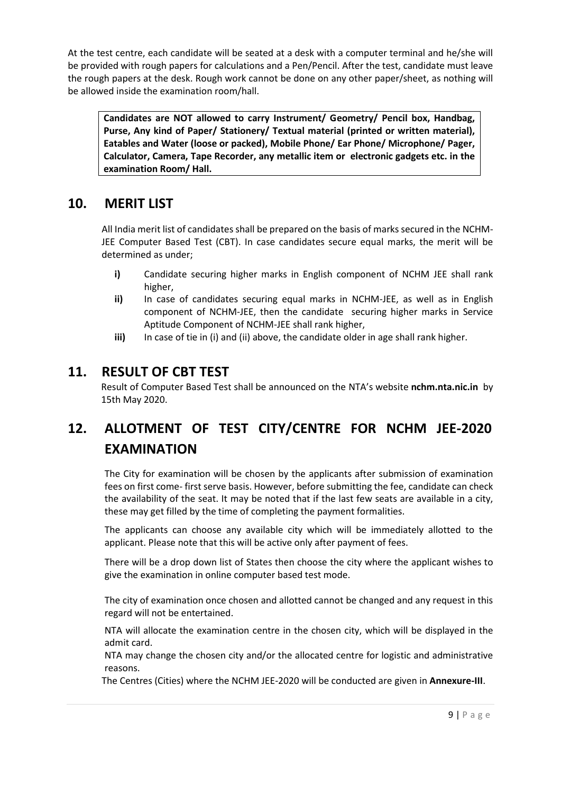At the test centre, each candidate will be seated at a desk with a computer terminal and he/she will be provided with rough papers for calculations and a Pen/Pencil. After the test, candidate must leave the rough papers at the desk. Rough work cannot be done on any other paper/sheet, as nothing will be allowed inside the examination room/hall.

**Candidates are NOT allowed to carry Instrument/ Geometry/ Pencil box, Handbag, Purse, Any kind of Paper/ Stationery/ Textual material (printed or written material), Eatables and Water (loose or packed), Mobile Phone/ Ear Phone/ Microphone/ Pager, Calculator, Camera, Tape Recorder, any metallic item or electronic gadgets etc. in the examination Room/ Hall.**

#### **10. MERIT LIST**

All India merit list of candidates shall be prepared on the basis of marks secured in the NCHM-JEE Computer Based Test (CBT). In case candidates secure equal marks, the merit will be determined as under;

- **i)** Candidate securing higher marks in English component of NCHM JEE shall rank higher,
- **ii)** In case of candidates securing equal marks in NCHM-JEE, as well as in English component of NCHM-JEE, then the candidate securing higher marks in Service Aptitude Component of NCHM-JEE shall rank higher,
- **iii)** In case of tie in (i) and (ii) above, the candidate older in age shall rank higher.

#### **11. RESULT OF CBT TEST**

Result of Computer Based Test shall be announced on the NTA's website **[nchm.nta.nic.in](http://www.ntanchm.nic.in/)** by 15th May 2020.

### **12. ALLOTMENT OF TEST CITY/CENTRE FOR NCHM JEE-2020 EXAMINATION**

The City for examination will be chosen by the applicants after submission of examination fees on first come- first serve basis. However, before submitting the fee, candidate can check the availability of the seat. It may be noted that if the last few seats are available in a city, these may get filled by the time of completing the payment formalities.

The applicants can choose any available city which will be immediately allotted to the applicant. Please note that this will be active only after payment of fees.

There will be a drop down list of States then choose the city where the applicant wishes to give the examination in online computer based test mode.

The city of examination once chosen and allotted cannot be changed and any request in this regard will not be entertained.

NTA will allocate the examination centre in the chosen city, which will be displayed in the admit card.

NTA may change the chosen city and/or the allocated centre for logistic and administrative reasons.

The Centres (Cities) where the NCHM JEE-2020 will be conducted are given in **Annexure-III**.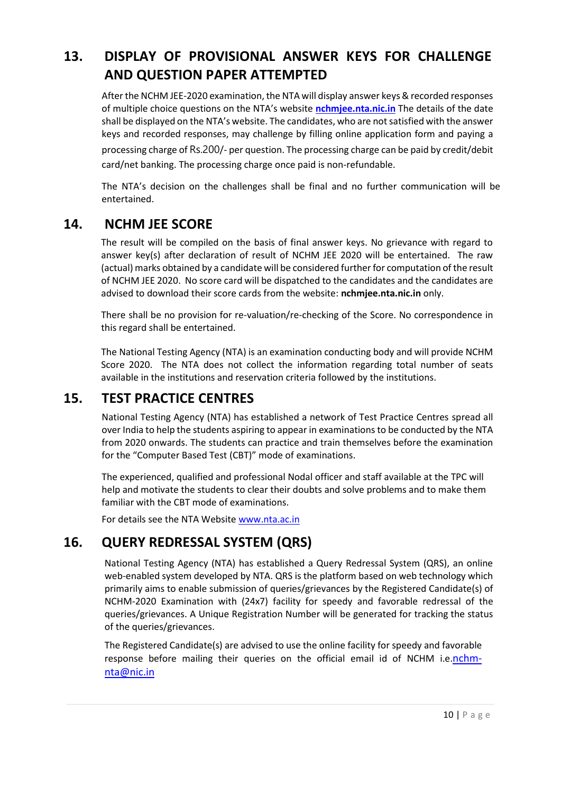### **13. DISPLAY OF PROVISIONAL ANSWER KEYS FOR CHALLENGE AND QUESTION PAPER ATTEMPTED**

After the NCHM JEE-2020 examination, the NTA will display answer keys & recorded responses of multiple choice questions on the NTA's website **[nchmjee.nta.nic.in](http://www.ntanchm.nic.in/)** The details of the date shall be displayed on the NTA's website. The candidates, who are not satisfied with the answer keys and recorded responses, may challenge by filling online application form and paying a processing charge of Rs.200/- per question. The processing charge can be paid by credit/debit

card/net banking. The processing charge once paid is non-refundable.

The NTA's decision on the challenges shall be final and no further communication will be entertained.

#### **14. NCHM JEE SCORE**

The result will be compiled on the basis of final answer keys. No grievance with regard to answer key(s) after declaration of result of NCHM JEE 2020 will be entertained. The raw (actual) marks obtained by a candidate will be considered further for computation of the result of NCHM JEE 2020. No score card will be dispatched to the candidates and the candidates are advised to download their score cards from the website: **nchmjee.[nta.nic.in](http://www.ntanchm.nic.in/)** only.

There shall be no provision for re-valuation/re-checking of the Score. No correspondence in this regard shall be entertained.

The National Testing Agency (NTA) is an examination conducting body and will provide NCHM Score 2020. The NTA does not collect the information regarding total number of seats available in the institutions and reservation criteria followed by the institutions.

### **15. TEST PRACTICE CENTRES**

National Testing Agency (NTA) has established a network of Test Practice Centres spread all over India to help the students aspiring to appear in examinations to be conducted by the NTA from 2020 onwards. The students can practice and train themselves before the examination for the "Computer Based Test (CBT)" mode of examinations.

The experienced, qualified and professional Nodal officer and staff available at the TPC will help and motivate the students to clear their doubts and solve problems and to make them familiar with the CBT mode of examinations.

For details see the NTA Website [www.nta.ac.in](http://www.nta.ac.in/)

### **16. QUERY REDRESSAL SYSTEM (QRS)**

National Testing Agency (NTA) has established a Query Redressal System (QRS), an online web-enabled system developed by NTA. QRS is the platform based on web technology which primarily aims to enable submission of queries/grievances by the Registered Candidate(s) of NCHM-2020 Examination with (24x7) facility for speedy and favorable redressal of the queries/grievances. A Unique Registration Number will be generated for tracking the status of the queries/grievances.

The Registered Candidate(s) are advised to use the online facility for speedy and favorable response before mailing their queries on the official email id of NCHM i.e.[nchm](mailto:nchm-nta@nic.in)[nta@nic.in](mailto:nchm-nta@nic.in)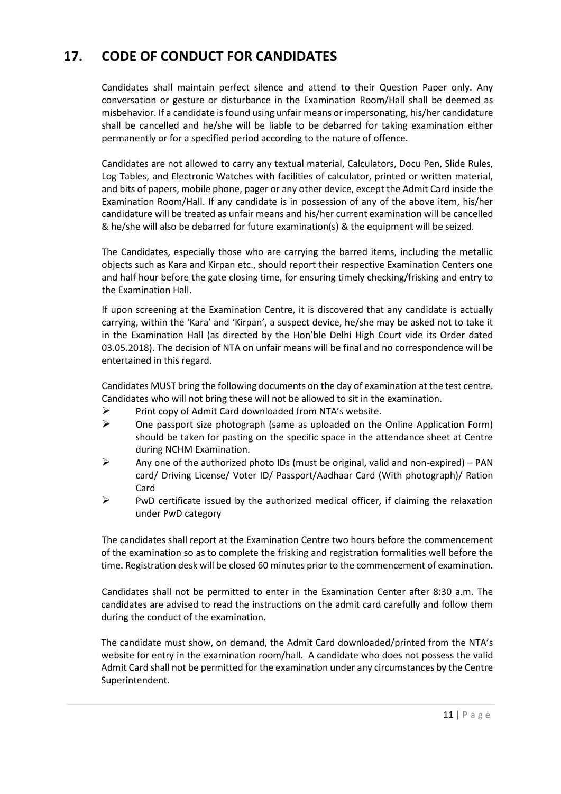### **17. CODE OF CONDUCT FOR CANDIDATES**

Candidates shall maintain perfect silence and attend to their Question Paper only. Any conversation or gesture or disturbance in the Examination Room/Hall shall be deemed as misbehavior. If a candidate is found using unfair means or impersonating, his/her candidature shall be cancelled and he/she will be liable to be debarred for taking examination either permanently or for a specified period according to the nature of offence.

Candidates are not allowed to carry any textual material, Calculators, Docu Pen, Slide Rules, Log Tables, and Electronic Watches with facilities of calculator, printed or written material, and bits of papers, mobile phone, pager or any other device, except the Admit Card inside the Examination Room/Hall. If any candidate is in possession of any of the above item, his/her candidature will be treated as unfair means and his/her current examination will be cancelled & he/she will also be debarred for future examination(s) & the equipment will be seized.

The Candidates, especially those who are carrying the barred items, including the metallic objects such as Kara and Kirpan etc., should report their respective Examination Centers one and half hour before the gate closing time, for ensuring timely checking/frisking and entry to the Examination Hall.

If upon screening at the Examination Centre, it is discovered that any candidate is actually carrying, within the 'Kara' and 'Kirpan', a suspect device, he/she may be asked not to take it in the Examination Hall (as directed by the Hon'ble Delhi High Court vide its Order dated 03.05.2018). The decision of NTA on unfair means will be final and no correspondence will be entertained in this regard.

Candidates MUST bring the following documents on the day of examination at the test centre. Candidates who will not bring these will not be allowed to sit in the examination.

- $\triangleright$  Print copy of Admit Card downloaded from NTA's website.
- $\triangleright$  One passport size photograph (same as uploaded on the Online Application Form) should be taken for pasting on the specific space in the attendance sheet at Centre during NCHM Examination.
- $\triangleright$  Any one of the authorized photo IDs (must be original, valid and non-expired) PAN card/ Driving License/ Voter ID/ Passport/Aadhaar Card (With photograph)/ Ration Card
- $\triangleright$  PwD certificate issued by the authorized medical officer, if claiming the relaxation under PwD category

The candidates shall report at the Examination Centre two hours before the commencement of the examination so as to complete the frisking and registration formalities well before the time. Registration desk will be closed 60 minutes prior to the commencement of examination.

Candidates shall not be permitted to enter in the Examination Center after 8:30 a.m. The candidates are advised to read the instructions on the admit card carefully and follow them during the conduct of the examination.

The candidate must show, on demand, the Admit Card downloaded/printed from the NTA's website for entry in the examination room/hall. A candidate who does not possess the valid Admit Card shall not be permitted for the examination under any circumstances by the Centre Superintendent.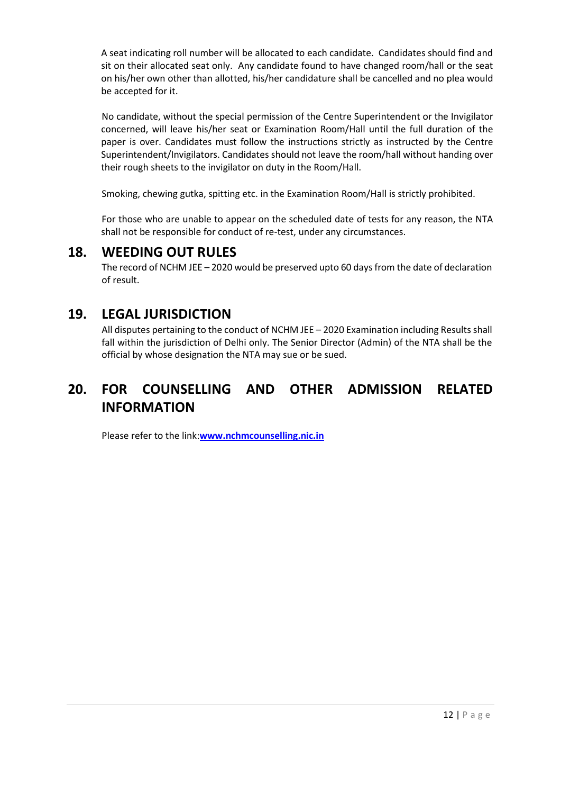A seat indicating roll number will be allocated to each candidate. Candidates should find and sit on their allocated seat only. Any candidate found to have changed room/hall or the seat on his/her own other than allotted, his/her candidature shall be cancelled and no plea would be accepted for it.

No candidate, without the special permission of the Centre Superintendent or the Invigilator concerned, will leave his/her seat or Examination Room/Hall until the full duration of the paper is over. Candidates must follow the instructions strictly as instructed by the Centre Superintendent/Invigilators. Candidates should not leave the room/hall without handing over their rough sheets to the invigilator on duty in the Room/Hall.

Smoking, chewing gutka, spitting etc. in the Examination Room/Hall is strictly prohibited.

For those who are unable to appear on the scheduled date of tests for any reason, the NTA shall not be responsible for conduct of re-test, under any circumstances.

#### **18. WEEDING OUT RULES**

The record of NCHM JEE – 2020 would be preserved upto 60 days from the date of declaration of result.

### **19. LEGAL JURISDICTION**

All disputes pertaining to the conduct of NCHM JEE – 2020 Examination including Results shall fall within the jurisdiction of Delhi only. The Senior Director (Admin) of the NTA shall be the official by whose designation the NTA may sue or be sued.

### **20. FOR COUNSELLING AND OTHER ADMISSION RELATED INFORMATION**

Please refer to the link:**[www.nchmcounselling.nic.in](http://www.nchmcounselling.nic.in/)**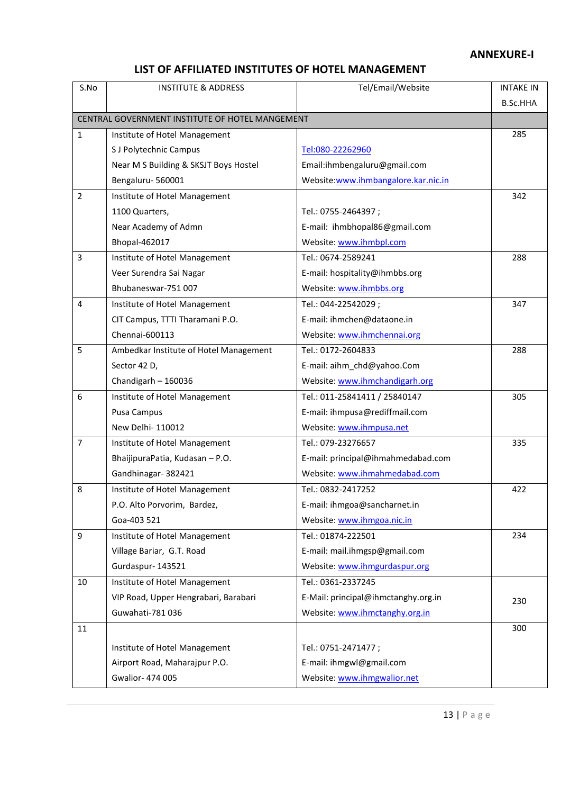#### **ANNEXURE-I**

#### **LIST OF AFFILIATED INSTITUTES OF HOTEL MANAGEMENT**

| B.Sc.HHA<br>CENTRAL GOVERNMENT INSTITUTE OF HOTEL MANGEMENT<br>$\mathbf{1}$<br>285<br>Institute of Hotel Management<br>S J Polytechnic Campus<br>Tel:080-22262960<br>Near M S Building & SKSJT Boys Hostel<br>Email:ihmbengaluru@gmail.com<br>Bengaluru-560001<br>Website:www.ihmbangalore.kar.nic.in<br>342<br>$\overline{2}$<br>Institute of Hotel Management<br>1100 Quarters,<br>Tel.: 0755-2464397;<br>Near Academy of Admn<br>E-mail: ihmbhopal86@gmail.com<br>Website: www.ihmbpl.com<br>Bhopal-462017<br>3<br>Institute of Hotel Management<br>Tel.: 0674-2589241<br>288<br>Veer Surendra Sai Nagar<br>E-mail: hospitality@ihmbbs.org<br>Bhubaneswar-751 007<br>Website: www.ihmbbs.org<br>$\overline{4}$<br>Tel.: 044-22542029;<br>Institute of Hotel Management<br>347<br>E-mail: ihmchen@dataone.in<br>CIT Campus, TTTI Tharamani P.O.<br>Chennai-600113<br>Website: www.ihmchennai.org<br>5<br>Ambedkar Institute of Hotel Management<br>Tel.: 0172-2604833<br>288<br>Sector 42 D,<br>E-mail: aihm_chd@yahoo.Com<br>Chandigarh - 160036<br>Website: www.ihmchandigarh.org<br>6<br>Tel.: 011-25841411 / 25840147<br>Institute of Hotel Management<br>305<br>E-mail: ihmpusa@rediffmail.com<br>Pusa Campus<br>New Delhi- 110012<br>Website: www.ihmpusa.net<br>Tel.: 079-23276657<br>$\overline{7}$<br>335<br>Institute of Hotel Management<br>BhaijipuraPatia, Kudasan - P.O.<br>E-mail: principal@ihmahmedabad.com<br>Gandhinagar- 382421<br>Website: www.ihmahmedabad.com<br>Institute of Hotel Management<br>Tel.: 0832-2417252<br>8<br>422<br>P.O. Alto Porvorim, Bardez,<br>E-mail: ihmgoa@sancharnet.in<br>Goa-403 521<br>Website: www.ihmgoa.nic.in<br>9<br>Tel.: 01874-222501<br>Institute of Hotel Management<br>234<br>Village Bariar, G.T. Road<br>E-mail: mail.ihmgsp@gmail.com<br>Gurdaspur-143521<br>Website: www.ihmgurdaspur.org | S.No | <b>INSTITUTE &amp; ADDRESS</b> | Tel/Email/Website | <b>INTAKE IN</b> |
|-------------------------------------------------------------------------------------------------------------------------------------------------------------------------------------------------------------------------------------------------------------------------------------------------------------------------------------------------------------------------------------------------------------------------------------------------------------------------------------------------------------------------------------------------------------------------------------------------------------------------------------------------------------------------------------------------------------------------------------------------------------------------------------------------------------------------------------------------------------------------------------------------------------------------------------------------------------------------------------------------------------------------------------------------------------------------------------------------------------------------------------------------------------------------------------------------------------------------------------------------------------------------------------------------------------------------------------------------------------------------------------------------------------------------------------------------------------------------------------------------------------------------------------------------------------------------------------------------------------------------------------------------------------------------------------------------------------------------------------------------------------------------------------------------------------------------------------------------------------|------|--------------------------------|-------------------|------------------|
|                                                                                                                                                                                                                                                                                                                                                                                                                                                                                                                                                                                                                                                                                                                                                                                                                                                                                                                                                                                                                                                                                                                                                                                                                                                                                                                                                                                                                                                                                                                                                                                                                                                                                                                                                                                                                                                             |      |                                |                   |                  |
|                                                                                                                                                                                                                                                                                                                                                                                                                                                                                                                                                                                                                                                                                                                                                                                                                                                                                                                                                                                                                                                                                                                                                                                                                                                                                                                                                                                                                                                                                                                                                                                                                                                                                                                                                                                                                                                             |      |                                |                   |                  |
|                                                                                                                                                                                                                                                                                                                                                                                                                                                                                                                                                                                                                                                                                                                                                                                                                                                                                                                                                                                                                                                                                                                                                                                                                                                                                                                                                                                                                                                                                                                                                                                                                                                                                                                                                                                                                                                             |      |                                |                   |                  |
|                                                                                                                                                                                                                                                                                                                                                                                                                                                                                                                                                                                                                                                                                                                                                                                                                                                                                                                                                                                                                                                                                                                                                                                                                                                                                                                                                                                                                                                                                                                                                                                                                                                                                                                                                                                                                                                             |      |                                |                   |                  |
|                                                                                                                                                                                                                                                                                                                                                                                                                                                                                                                                                                                                                                                                                                                                                                                                                                                                                                                                                                                                                                                                                                                                                                                                                                                                                                                                                                                                                                                                                                                                                                                                                                                                                                                                                                                                                                                             |      |                                |                   |                  |
|                                                                                                                                                                                                                                                                                                                                                                                                                                                                                                                                                                                                                                                                                                                                                                                                                                                                                                                                                                                                                                                                                                                                                                                                                                                                                                                                                                                                                                                                                                                                                                                                                                                                                                                                                                                                                                                             |      |                                |                   |                  |
|                                                                                                                                                                                                                                                                                                                                                                                                                                                                                                                                                                                                                                                                                                                                                                                                                                                                                                                                                                                                                                                                                                                                                                                                                                                                                                                                                                                                                                                                                                                                                                                                                                                                                                                                                                                                                                                             |      |                                |                   |                  |
|                                                                                                                                                                                                                                                                                                                                                                                                                                                                                                                                                                                                                                                                                                                                                                                                                                                                                                                                                                                                                                                                                                                                                                                                                                                                                                                                                                                                                                                                                                                                                                                                                                                                                                                                                                                                                                                             |      |                                |                   |                  |
|                                                                                                                                                                                                                                                                                                                                                                                                                                                                                                                                                                                                                                                                                                                                                                                                                                                                                                                                                                                                                                                                                                                                                                                                                                                                                                                                                                                                                                                                                                                                                                                                                                                                                                                                                                                                                                                             |      |                                |                   |                  |
|                                                                                                                                                                                                                                                                                                                                                                                                                                                                                                                                                                                                                                                                                                                                                                                                                                                                                                                                                                                                                                                                                                                                                                                                                                                                                                                                                                                                                                                                                                                                                                                                                                                                                                                                                                                                                                                             |      |                                |                   |                  |
|                                                                                                                                                                                                                                                                                                                                                                                                                                                                                                                                                                                                                                                                                                                                                                                                                                                                                                                                                                                                                                                                                                                                                                                                                                                                                                                                                                                                                                                                                                                                                                                                                                                                                                                                                                                                                                                             |      |                                |                   |                  |
|                                                                                                                                                                                                                                                                                                                                                                                                                                                                                                                                                                                                                                                                                                                                                                                                                                                                                                                                                                                                                                                                                                                                                                                                                                                                                                                                                                                                                                                                                                                                                                                                                                                                                                                                                                                                                                                             |      |                                |                   |                  |
|                                                                                                                                                                                                                                                                                                                                                                                                                                                                                                                                                                                                                                                                                                                                                                                                                                                                                                                                                                                                                                                                                                                                                                                                                                                                                                                                                                                                                                                                                                                                                                                                                                                                                                                                                                                                                                                             |      |                                |                   |                  |
|                                                                                                                                                                                                                                                                                                                                                                                                                                                                                                                                                                                                                                                                                                                                                                                                                                                                                                                                                                                                                                                                                                                                                                                                                                                                                                                                                                                                                                                                                                                                                                                                                                                                                                                                                                                                                                                             |      |                                |                   |                  |
|                                                                                                                                                                                                                                                                                                                                                                                                                                                                                                                                                                                                                                                                                                                                                                                                                                                                                                                                                                                                                                                                                                                                                                                                                                                                                                                                                                                                                                                                                                                                                                                                                                                                                                                                                                                                                                                             |      |                                |                   |                  |
|                                                                                                                                                                                                                                                                                                                                                                                                                                                                                                                                                                                                                                                                                                                                                                                                                                                                                                                                                                                                                                                                                                                                                                                                                                                                                                                                                                                                                                                                                                                                                                                                                                                                                                                                                                                                                                                             |      |                                |                   |                  |
|                                                                                                                                                                                                                                                                                                                                                                                                                                                                                                                                                                                                                                                                                                                                                                                                                                                                                                                                                                                                                                                                                                                                                                                                                                                                                                                                                                                                                                                                                                                                                                                                                                                                                                                                                                                                                                                             |      |                                |                   |                  |
|                                                                                                                                                                                                                                                                                                                                                                                                                                                                                                                                                                                                                                                                                                                                                                                                                                                                                                                                                                                                                                                                                                                                                                                                                                                                                                                                                                                                                                                                                                                                                                                                                                                                                                                                                                                                                                                             |      |                                |                   |                  |
|                                                                                                                                                                                                                                                                                                                                                                                                                                                                                                                                                                                                                                                                                                                                                                                                                                                                                                                                                                                                                                                                                                                                                                                                                                                                                                                                                                                                                                                                                                                                                                                                                                                                                                                                                                                                                                                             |      |                                |                   |                  |
|                                                                                                                                                                                                                                                                                                                                                                                                                                                                                                                                                                                                                                                                                                                                                                                                                                                                                                                                                                                                                                                                                                                                                                                                                                                                                                                                                                                                                                                                                                                                                                                                                                                                                                                                                                                                                                                             |      |                                |                   |                  |
|                                                                                                                                                                                                                                                                                                                                                                                                                                                                                                                                                                                                                                                                                                                                                                                                                                                                                                                                                                                                                                                                                                                                                                                                                                                                                                                                                                                                                                                                                                                                                                                                                                                                                                                                                                                                                                                             |      |                                |                   |                  |
|                                                                                                                                                                                                                                                                                                                                                                                                                                                                                                                                                                                                                                                                                                                                                                                                                                                                                                                                                                                                                                                                                                                                                                                                                                                                                                                                                                                                                                                                                                                                                                                                                                                                                                                                                                                                                                                             |      |                                |                   |                  |
|                                                                                                                                                                                                                                                                                                                                                                                                                                                                                                                                                                                                                                                                                                                                                                                                                                                                                                                                                                                                                                                                                                                                                                                                                                                                                                                                                                                                                                                                                                                                                                                                                                                                                                                                                                                                                                                             |      |                                |                   |                  |
|                                                                                                                                                                                                                                                                                                                                                                                                                                                                                                                                                                                                                                                                                                                                                                                                                                                                                                                                                                                                                                                                                                                                                                                                                                                                                                                                                                                                                                                                                                                                                                                                                                                                                                                                                                                                                                                             |      |                                |                   |                  |
|                                                                                                                                                                                                                                                                                                                                                                                                                                                                                                                                                                                                                                                                                                                                                                                                                                                                                                                                                                                                                                                                                                                                                                                                                                                                                                                                                                                                                                                                                                                                                                                                                                                                                                                                                                                                                                                             |      |                                |                   |                  |
|                                                                                                                                                                                                                                                                                                                                                                                                                                                                                                                                                                                                                                                                                                                                                                                                                                                                                                                                                                                                                                                                                                                                                                                                                                                                                                                                                                                                                                                                                                                                                                                                                                                                                                                                                                                                                                                             |      |                                |                   |                  |
|                                                                                                                                                                                                                                                                                                                                                                                                                                                                                                                                                                                                                                                                                                                                                                                                                                                                                                                                                                                                                                                                                                                                                                                                                                                                                                                                                                                                                                                                                                                                                                                                                                                                                                                                                                                                                                                             |      |                                |                   |                  |
|                                                                                                                                                                                                                                                                                                                                                                                                                                                                                                                                                                                                                                                                                                                                                                                                                                                                                                                                                                                                                                                                                                                                                                                                                                                                                                                                                                                                                                                                                                                                                                                                                                                                                                                                                                                                                                                             |      |                                |                   |                  |
|                                                                                                                                                                                                                                                                                                                                                                                                                                                                                                                                                                                                                                                                                                                                                                                                                                                                                                                                                                                                                                                                                                                                                                                                                                                                                                                                                                                                                                                                                                                                                                                                                                                                                                                                                                                                                                                             |      |                                |                   |                  |
|                                                                                                                                                                                                                                                                                                                                                                                                                                                                                                                                                                                                                                                                                                                                                                                                                                                                                                                                                                                                                                                                                                                                                                                                                                                                                                                                                                                                                                                                                                                                                                                                                                                                                                                                                                                                                                                             |      |                                |                   |                  |
|                                                                                                                                                                                                                                                                                                                                                                                                                                                                                                                                                                                                                                                                                                                                                                                                                                                                                                                                                                                                                                                                                                                                                                                                                                                                                                                                                                                                                                                                                                                                                                                                                                                                                                                                                                                                                                                             |      |                                |                   |                  |
| 10<br>Tel.: 0361-2337245<br>Institute of Hotel Management                                                                                                                                                                                                                                                                                                                                                                                                                                                                                                                                                                                                                                                                                                                                                                                                                                                                                                                                                                                                                                                                                                                                                                                                                                                                                                                                                                                                                                                                                                                                                                                                                                                                                                                                                                                                   |      |                                |                   |                  |
| VIP Road, Upper Hengrabari, Barabari<br>E-Mail: principal@ihmctanghy.org.in<br>230                                                                                                                                                                                                                                                                                                                                                                                                                                                                                                                                                                                                                                                                                                                                                                                                                                                                                                                                                                                                                                                                                                                                                                                                                                                                                                                                                                                                                                                                                                                                                                                                                                                                                                                                                                          |      |                                |                   |                  |
| Guwahati-781 036<br>Website: www.ihmctanghy.org.in                                                                                                                                                                                                                                                                                                                                                                                                                                                                                                                                                                                                                                                                                                                                                                                                                                                                                                                                                                                                                                                                                                                                                                                                                                                                                                                                                                                                                                                                                                                                                                                                                                                                                                                                                                                                          |      |                                |                   |                  |
| 11<br>300                                                                                                                                                                                                                                                                                                                                                                                                                                                                                                                                                                                                                                                                                                                                                                                                                                                                                                                                                                                                                                                                                                                                                                                                                                                                                                                                                                                                                                                                                                                                                                                                                                                                                                                                                                                                                                                   |      |                                |                   |                  |
| Institute of Hotel Management<br>Tel.: 0751-2471477;                                                                                                                                                                                                                                                                                                                                                                                                                                                                                                                                                                                                                                                                                                                                                                                                                                                                                                                                                                                                                                                                                                                                                                                                                                                                                                                                                                                                                                                                                                                                                                                                                                                                                                                                                                                                        |      |                                |                   |                  |
| E-mail: ihmgwl@gmail.com<br>Airport Road, Maharajpur P.O.                                                                                                                                                                                                                                                                                                                                                                                                                                                                                                                                                                                                                                                                                                                                                                                                                                                                                                                                                                                                                                                                                                                                                                                                                                                                                                                                                                                                                                                                                                                                                                                                                                                                                                                                                                                                   |      |                                |                   |                  |
| Gwalior- 474 005<br>Website: www.ihmgwalior.net                                                                                                                                                                                                                                                                                                                                                                                                                                                                                                                                                                                                                                                                                                                                                                                                                                                                                                                                                                                                                                                                                                                                                                                                                                                                                                                                                                                                                                                                                                                                                                                                                                                                                                                                                                                                             |      |                                |                   |                  |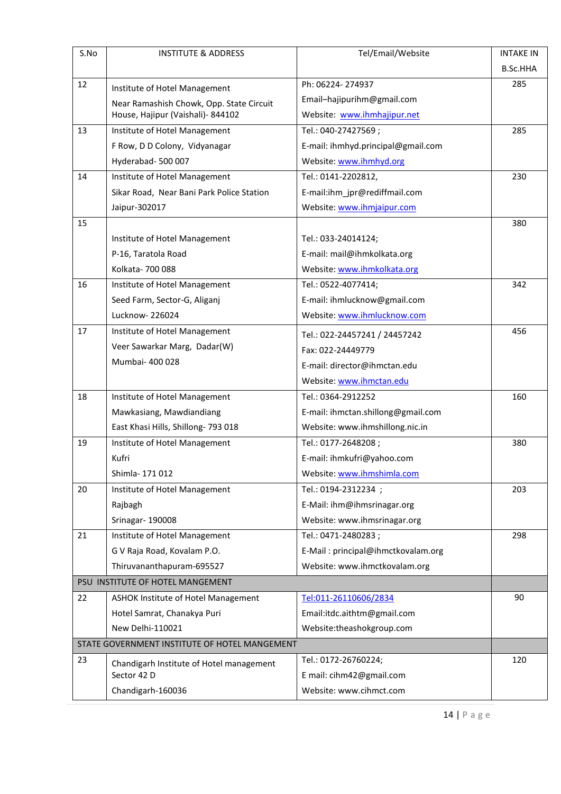| S.No | <b>INSTITUTE &amp; ADDRESS</b>                | Tel/Email/Website                  | <b>INTAKE IN</b> |
|------|-----------------------------------------------|------------------------------------|------------------|
|      |                                               |                                    | B.Sc.HHA         |
| 12   | Institute of Hotel Management                 | Ph: 06224-274937                   | 285              |
|      | Near Ramashish Chowk, Opp. State Circuit      | Email-hajipurihm@gmail.com         |                  |
|      | House, Hajipur (Vaishali) - 844102            | Website: www.ihmhajipur.net        |                  |
| 13   | Institute of Hotel Management                 | Tel.: 040-27427569;                | 285              |
|      | F Row, D D Colony, Vidyanagar                 | E-mail: ihmhyd.principal@gmail.com |                  |
|      | Hyderabad-500007                              | Website: www.ihmhyd.org            |                  |
| 14   | Institute of Hotel Management                 | Tel.: 0141-2202812,                | 230              |
|      | Sikar Road, Near Bani Park Police Station     | E-mail:ihm_jpr@rediffmail.com      |                  |
|      | Jaipur-302017                                 | Website: www.ihmjaipur.com         |                  |
| 15   |                                               |                                    | 380              |
|      | Institute of Hotel Management                 | Tel.: 033-24014124;                |                  |
|      | P-16, Taratola Road                           | E-mail: mail@ihmkolkata.org        |                  |
|      | Kolkata- 700 088                              | Website: www.ihmkolkata.org        |                  |
| 16   | Institute of Hotel Management                 | Tel.: 0522-4077414;                | 342              |
|      | Seed Farm, Sector-G, Aliganj                  | E-mail: ihmlucknow@gmail.com       |                  |
|      | Lucknow-226024                                | Website: www.ihmlucknow.com        |                  |
| 17   | Institute of Hotel Management                 | Tel.: 022-24457241 / 24457242      | 456              |
|      | Veer Sawarkar Marg, Dadar(W)                  | Fax: 022-24449779                  |                  |
|      | Mumbai- 400 028                               | E-mail: director@ihmctan.edu       |                  |
|      |                                               | Website: www.ihmctan.edu           |                  |
| 18   | Institute of Hotel Management                 | Tel.: 0364-2912252                 | 160              |
|      | Mawkasiang, Mawdiandiang                      | E-mail: ihmctan.shillong@gmail.com |                  |
|      | East Khasi Hills, Shillong- 793 018           | Website: www.ihmshillong.nic.in    |                  |
| 19   | Institute of Hotel Management                 | Tel.: 0177-2648208;                | 380              |
|      | Kufri                                         | E-mail: ihmkufri@yahoo.com         |                  |
|      | Shimla- 171 012                               | Website: www.ihmshimla.com         |                  |
| 20   | Institute of Hotel Management                 | Tel.: 0194-2312234 ;               | 203              |
|      | Rajbagh                                       | E-Mail: ihm@ihmsrinagar.org        |                  |
|      | Srinagar-190008                               | Website: www.ihmsrinagar.org       |                  |
| 21   | Institute of Hotel Management                 | Tel.: 0471-2480283;                | 298              |
|      | G V Raja Road, Kovalam P.O.                   | E-Mail: principal@ihmctkovalam.org |                  |
|      | Thiruvananthapuram-695527                     | Website: www.ihmctkovalam.org      |                  |
|      | PSU INSTITUTE OF HOTEL MANGEMENT              |                                    |                  |
| 22   | ASHOK Institute of Hotel Management           | Tel:011-26110606/2834              | 90               |
|      | Hotel Samrat, Chanakya Puri                   | Email:itdc.aithtm@gmail.com        |                  |
|      | New Delhi-110021                              | Website:theashokgroup.com          |                  |
|      | STATE GOVERNMENT INSTITUTE OF HOTEL MANGEMENT |                                    |                  |
| 23   | Chandigarh Institute of Hotel management      | Tel.: 0172-26760224;               | 120              |
|      | Sector 42 D                                   | E mail: cihm42@gmail.com           |                  |
|      | Chandigarh-160036                             | Website: www.cihmct.com            |                  |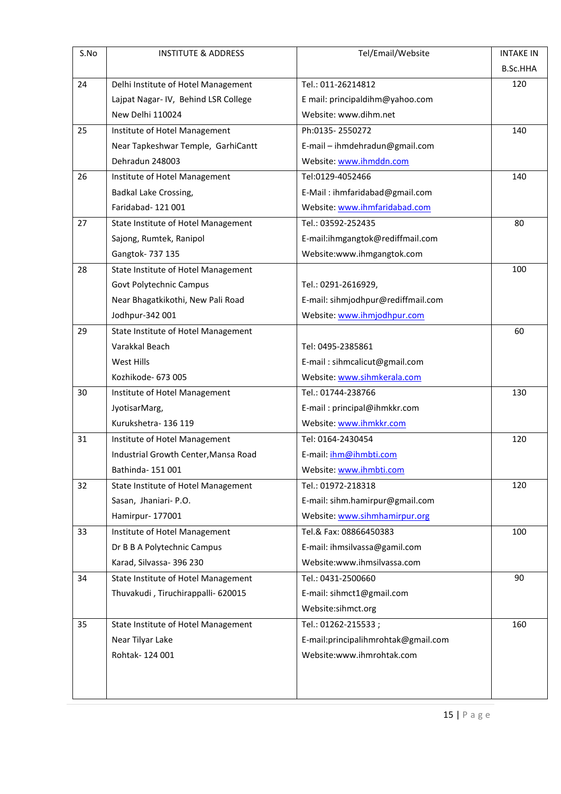| S.No | <b>INSTITUTE &amp; ADDRESS</b>       | Tel/Email/Website                   | <b>INTAKE IN</b> |
|------|--------------------------------------|-------------------------------------|------------------|
|      |                                      |                                     | <b>B.Sc.HHA</b>  |
| 24   | Delhi Institute of Hotel Management  | Tel.: 011-26214812                  | 120              |
|      | Lajpat Nagar-IV, Behind LSR College  | E mail: principaldihm@yahoo.com     |                  |
|      | New Delhi 110024                     | Website: www.dihm.net               |                  |
| 25   | Institute of Hotel Management        | Ph:0135-2550272                     | 140              |
|      | Near Tapkeshwar Temple, GarhiCantt   | E-mail - ihmdehradun@gmail.com      |                  |
|      | Dehradun 248003                      | Website: www.ihmddn.com             |                  |
| 26   | Institute of Hotel Management        | Tel:0129-4052466                    | 140              |
|      | <b>Badkal Lake Crossing,</b>         | E-Mail: ihmfaridabad@gmail.com      |                  |
|      | Faridabad-121001                     | Website: www.ihmfaridabad.com       |                  |
| 27   | State Institute of Hotel Management  | Tel.: 03592-252435                  | 80               |
|      | Sajong, Rumtek, Ranipol              | E-mail:ihmgangtok@rediffmail.com    |                  |
|      | Gangtok- 737 135                     | Website:www.ihmgangtok.com          |                  |
| 28   | State Institute of Hotel Management  |                                     | 100              |
|      | Govt Polytechnic Campus              | Tel.: 0291-2616929,                 |                  |
|      | Near Bhagatkikothi, New Pali Road    | E-mail: sihmjodhpur@rediffmail.com  |                  |
|      | Jodhpur-342 001                      | Website: www.ihmjodhpur.com         |                  |
| 29   | State Institute of Hotel Management  |                                     | 60               |
|      | Varakkal Beach                       | Tel: 0495-2385861                   |                  |
|      | West Hills                           | E-mail: sihmcalicut@gmail.com       |                  |
|      | Kozhikode- 673 005                   | Website: www.sihmkerala.com         |                  |
| 30   | Institute of Hotel Management        | Tel.: 01744-238766                  | 130              |
|      | JyotisarMarg,                        | E-mail: principal@ihmkkr.com        |                  |
|      | Kurukshetra-136119                   | Website: www.ihmkkr.com             |                  |
| 31   | Institute of Hotel Management        | Tel: 0164-2430454                   | 120              |
|      | Industrial Growth Center, Mansa Road | E-mail: ihm@ihmbti.com              |                  |
|      | Bathinda- 151 001                    | Website: www.ihmbti.com             |                  |
| 32   | State Institute of Hotel Management  | Tel.: 01972-218318                  | 120              |
|      | Sasan, Jhaniari- P.O.                | E-mail: sihm.hamirpur@gmail.com     |                  |
|      | Hamirpur- 177001                     | Website: www.sihmhamirpur.org       |                  |
| 33   | Institute of Hotel Management        | Tel.& Fax: 08866450383              | 100              |
|      | Dr B B A Polytechnic Campus          | E-mail: ihmsilvassa@gamil.com       |                  |
|      | Karad, Silvassa- 396 230             | Website:www.ihmsilvassa.com         |                  |
| 34   | State Institute of Hotel Management  | Tel.: 0431-2500660                  | 90               |
|      | Thuvakudi, Tiruchirappalli- 620015   | E-mail: sihmct1@gmail.com           |                  |
|      |                                      | Website:sihmct.org                  |                  |
| 35   | State Institute of Hotel Management  | Tel.: 01262-215533;                 | 160              |
|      | Near Tilyar Lake                     | E-mail:principalihmrohtak@gmail.com |                  |
|      | Rohtak-124 001                       | Website:www.ihmrohtak.com           |                  |
|      |                                      |                                     |                  |
|      |                                      |                                     |                  |
|      |                                      |                                     |                  |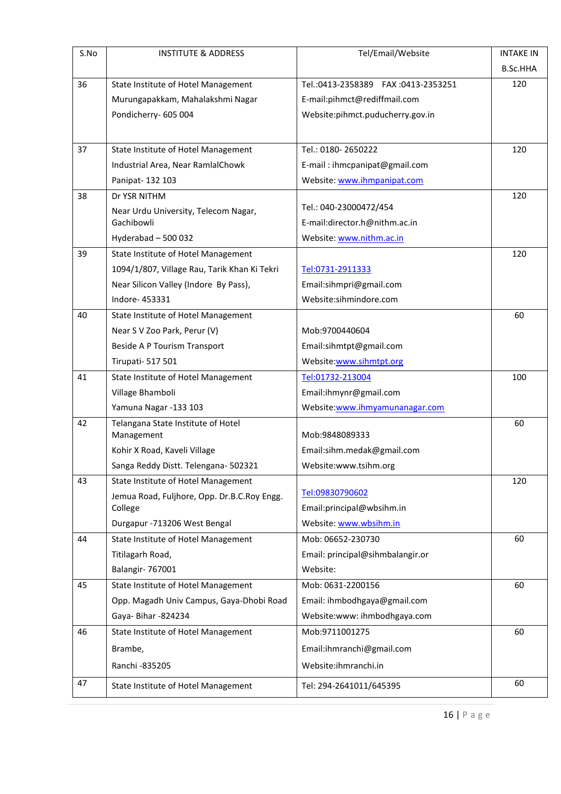| S.No | <b>INSTITUTE &amp; ADDRESS</b>                   | Tel/Email/Website                  | <b>INTAKE IN</b> |
|------|--------------------------------------------------|------------------------------------|------------------|
|      |                                                  |                                    | <b>B.Sc.HHA</b>  |
| 36   | State Institute of Hotel Management              | Tel.:0413-2358389 FAX:0413-2353251 | 120              |
|      | Murungapakkam, Mahalakshmi Nagar                 | E-mail:pihmct@rediffmail.com       |                  |
|      | Pondicherry- 605 004                             | Website:pihmct.puducherry.gov.in   |                  |
|      |                                                  |                                    |                  |
| 37   | State Institute of Hotel Management              | Tel.: 0180-2650222                 | 120              |
|      | Industrial Area, Near RamlalChowk                | E-mail: ihmcpanipat@gmail.com      |                  |
|      | Panipat- 132 103                                 | Website: www.ihmpanipat.com        |                  |
| 38   | Dr YSR NITHM                                     |                                    | 120              |
|      | Near Urdu University, Telecom Nagar,             | Tel.: 040-23000472/454             |                  |
|      | Gachibowli                                       | E-mail:director.h@nithm.ac.in      |                  |
|      | Hyderabad - 500 032                              | Website: www.nithm.ac.in           |                  |
| 39   | State Institute of Hotel Management              |                                    | 120              |
|      | 1094/1/807, Village Rau, Tarik Khan Ki Tekri     | Tel:0731-2911333                   |                  |
|      | Near Silicon Valley (Indore By Pass),            | Email:sihmpri@gmail.com            |                  |
|      | Indore-453331                                    | Website:sihmindore.com             |                  |
| 40   | State Institute of Hotel Management              |                                    | 60               |
|      | Near S V Zoo Park, Perur (V)                     | Mob:9700440604                     |                  |
|      | Beside A P Tourism Transport                     | Email:sihmtpt@gmail.com            |                  |
|      | <b>Tirupati- 517 501</b>                         | Website:www.sihmtpt.org            |                  |
| 41   | State Institute of Hotel Management              | Tel:01732-213004                   | 100              |
|      | Village Bhamboli                                 | Email:ihmynr@gmail.com             |                  |
|      | Yamuna Nagar -133 103                            | Website:www.ihmyamunanagar.com     |                  |
| 42   | Telangana State Institute of Hotel<br>Management | Mob:9848089333                     | 60               |
|      | Kohir X Road, Kaveli Village                     | Email:sihm.medak@gmail.com         |                  |
|      | Sanga Reddy Distt. Telengana- 502321             | Website:www.tsihm.org              |                  |
| 43   | State Institute of Hotel Management              |                                    | 120              |
|      | Jemua Road, Fuljhore, Opp. Dr.B.C.Roy Engg.      | Tel:09830790602                    |                  |
|      | College                                          | Email:principal@wbsihm.in          |                  |
|      | Durgapur -713206 West Bengal                     | Website: www.wbsihm.in             |                  |
| 44   | State Institute of Hotel Management              | Mob: 06652-230730                  | 60               |
|      | Titilagarh Road,                                 | Email: principal@sihmbalangir.or   |                  |
|      | Balangir- 767001                                 | Website:                           |                  |
| 45   | State Institute of Hotel Management              | Mob: 0631-2200156                  | 60               |
|      | Opp. Magadh Univ Campus, Gaya-Dhobi Road         | Email: ihmbodhgaya@gmail.com       |                  |
|      | Gaya- Bihar -824234                              | Website:www: ihmbodhgaya.com       |                  |
| 46   | State Institute of Hotel Management              | Mob:9711001275                     | 60               |
|      | Brambe,                                          | Email:ihmranchi@gmail.com          |                  |
|      | Ranchi - 835205                                  | Website:ihmranchi.in               |                  |
| 47   | State Institute of Hotel Management              | Tel: 294-2641011/645395            | 60               |
|      |                                                  |                                    |                  |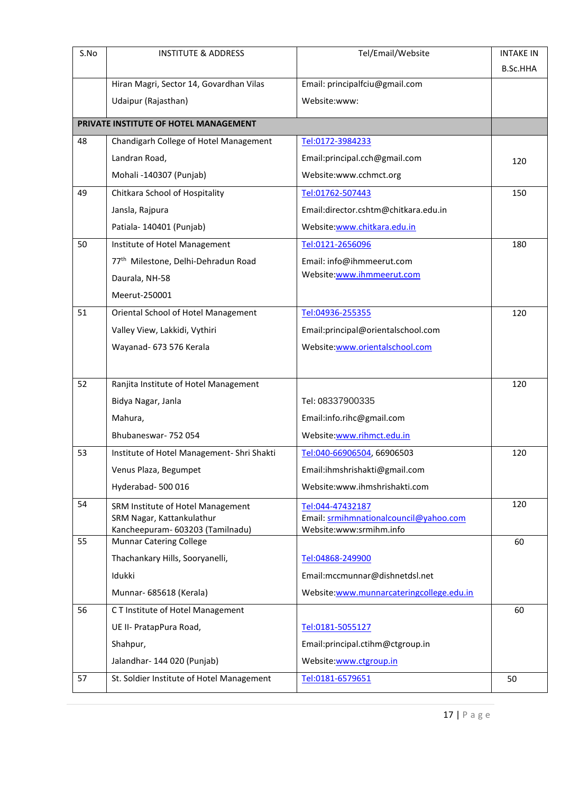| S.No | <b>INSTITUTE &amp; ADDRESS</b>                                     | Tel/Email/Website                                                 | <b>INTAKE IN</b> |
|------|--------------------------------------------------------------------|-------------------------------------------------------------------|------------------|
|      |                                                                    |                                                                   | <b>B.Sc.HHA</b>  |
|      | Hiran Magri, Sector 14, Govardhan Vilas                            | Email: principalfciu@gmail.com                                    |                  |
|      | Udaipur (Rajasthan)                                                | Website:www:                                                      |                  |
|      | PRIVATE INSTITUTE OF HOTEL MANAGEMENT                              |                                                                   |                  |
| 48   | Chandigarh College of Hotel Management                             | Tel:0172-3984233                                                  |                  |
|      | Landran Road,                                                      | Email:principal.cch@gmail.com                                     | 120              |
|      | Mohali -140307 (Punjab)                                            | Website:www.cchmct.org                                            |                  |
| 49   | Chitkara School of Hospitality                                     | Tel:01762-507443                                                  | 150              |
|      | Jansla, Rajpura                                                    | Email:director.cshtm@chitkara.edu.in                              |                  |
|      | Patiala-140401 (Punjab)                                            | Website:www.chitkara.edu.in                                       |                  |
| 50   | Institute of Hotel Management                                      | Tel:0121-2656096                                                  | 180              |
|      | 77 <sup>th</sup> Milestone, Delhi-Dehradun Road                    | Email: info@ihmmeerut.com                                         |                  |
|      | Daurala, NH-58                                                     | Website:www.ihmmeerut.com                                         |                  |
|      | Meerut-250001                                                      |                                                                   |                  |
| 51   | Oriental School of Hotel Management                                | Tel:04936-255355                                                  | 120              |
|      | Valley View, Lakkidi, Vythiri                                      | Email:principal@orientalschool.com                                |                  |
|      | Wayanad- 673 576 Kerala                                            | Website:www.orientalschool.com                                    |                  |
|      |                                                                    |                                                                   |                  |
| 52   | Ranjita Institute of Hotel Management                              |                                                                   | 120              |
|      | Bidya Nagar, Janla                                                 | Tel: 08337900335                                                  |                  |
|      | Mahura,                                                            | Email:info.rihc@gmail.com                                         |                  |
|      | Bhubaneswar- 752 054                                               | Website:www.rihmct.edu.in                                         |                  |
| 53   | Institute of Hotel Management- Shri Shakti                         | Tel:040-66906504, 66906503                                        | 120              |
|      | Venus Plaza, Begumpet                                              | Email:ihmshrishakti@gmail.com                                     |                  |
|      | Hyderabad-500016                                                   | Website:www.ihmshrishakti.com                                     |                  |
| 54   | SRM Institute of Hotel Management                                  | Tel:044-47432187                                                  | 120              |
|      | SRM Nagar, Kattankulathur                                          | Email: srmihmnationalcouncil@yahoo.com<br>Website:www:srmihm.info |                  |
| 55   | Kancheepuram- 603203 (Tamilnadu)<br><b>Munnar Catering College</b> |                                                                   | 60               |
|      | Thachankary Hills, Sooryanelli,                                    | Tel:04868-249900                                                  |                  |
|      | Idukki                                                             | Email:mccmunnar@dishnetdsl.net                                    |                  |
|      | Munnar- 685618 (Kerala)                                            | Website:www.munnarcateringcollege.edu.in                          |                  |
| 56   | CT Institute of Hotel Management                                   |                                                                   | 60               |
|      | UE II- PratapPura Road,                                            | Tel:0181-5055127                                                  |                  |
|      | Shahpur,                                                           | Email:principal.ctihm@ctgroup.in                                  |                  |
|      | Jalandhar-144 020 (Punjab)                                         | Website:www.ctgroup.in                                            |                  |
| 57   | St. Soldier Institute of Hotel Management                          | Tel:0181-6579651                                                  | 50               |
|      |                                                                    |                                                                   |                  |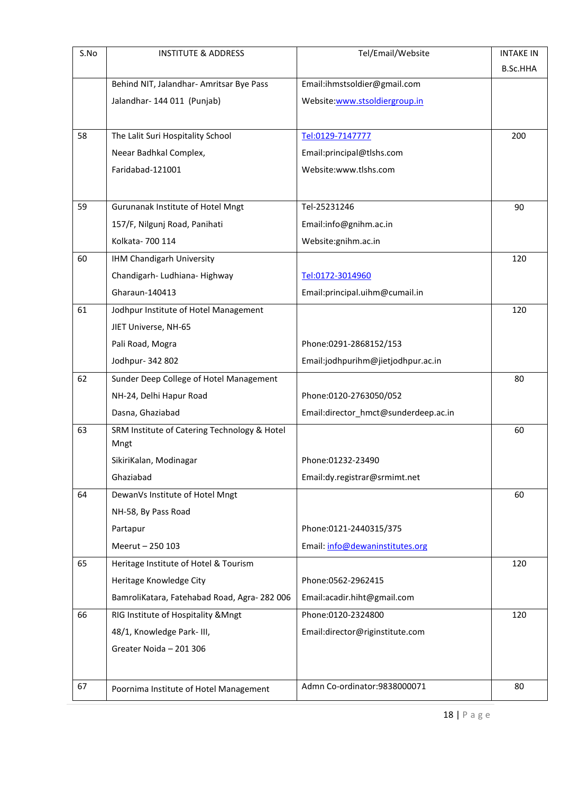| S.No | <b>INSTITUTE &amp; ADDRESS</b>               | Tel/Email/Website                    | <b>INTAKE IN</b> |
|------|----------------------------------------------|--------------------------------------|------------------|
|      |                                              |                                      | <b>B.Sc.HHA</b>  |
|      | Behind NIT, Jalandhar- Amritsar Bye Pass     | Email:ihmstsoldier@gmail.com         |                  |
|      | Jalandhar-144 011 (Punjab)                   | Website:www.stsoldiergroup.in        |                  |
|      |                                              |                                      |                  |
| 58   | The Lalit Suri Hospitality School            | Tel:0129-7147777                     | 200              |
|      | Neear Badhkal Complex,                       | Email:principal@tlshs.com            |                  |
|      | Faridabad-121001                             | Website:www.tlshs.com                |                  |
|      |                                              |                                      |                  |
| 59   | Gurunanak Institute of Hotel Mngt            | Tel-25231246                         | 90               |
|      | 157/F, Nilgunj Road, Panihati                | Email:info@gnihm.ac.in               |                  |
|      | Kolkata- 700 114                             | Website:gnihm.ac.in                  |                  |
| 60   | IHM Chandigarh University                    |                                      | 120              |
|      | Chandigarh- Ludhiana- Highway                | Tel:0172-3014960                     |                  |
|      | Gharaun-140413                               | Email:principal.uihm@cumail.in       |                  |
| 61   | Jodhpur Institute of Hotel Management        |                                      | 120              |
|      | JIET Universe, NH-65                         |                                      |                  |
|      | Pali Road, Mogra                             | Phone:0291-2868152/153               |                  |
|      | Jodhpur- 342 802                             | Email:jodhpurihm@jietjodhpur.ac.in   |                  |
| 62   | Sunder Deep College of Hotel Management      |                                      | 80               |
|      | NH-24, Delhi Hapur Road                      | Phone:0120-2763050/052               |                  |
|      | Dasna, Ghaziabad                             | Email:director_hmct@sunderdeep.ac.in |                  |
| 63   | SRM Institute of Catering Technology & Hotel |                                      | 60               |
|      | Mngt                                         |                                      |                  |
|      | SikiriKalan, Modinagar                       | Phone:01232-23490                    |                  |
|      | Ghaziabad                                    | Email:dy.registrar@srmimt.net        |                  |
| 64   | DewanVs Institute of Hotel Mngt              |                                      | 60               |
|      | NH-58, By Pass Road                          |                                      |                  |
|      | Partapur                                     | Phone:0121-2440315/375               |                  |
|      | Meerut - 250 103                             | Email: info@dewaninstitutes.org      |                  |
| 65   | Heritage Institute of Hotel & Tourism        |                                      | 120              |
|      | Heritage Knowledge City                      | Phone: 0562-2962415                  |                  |
|      | BamroliKatara, Fatehabad Road, Agra-282 006  | Email:acadir.hiht@gmail.com          |                  |
| 66   | RIG Institute of Hospitality & Mngt          | Phone:0120-2324800                   | 120              |
|      | 48/1, Knowledge Park- III,                   | Email:director@riginstitute.com      |                  |
|      | Greater Noida - 201 306                      |                                      |                  |
|      |                                              |                                      |                  |
| 67   | Poornima Institute of Hotel Management       | Admn Co-ordinator:9838000071         | 80               |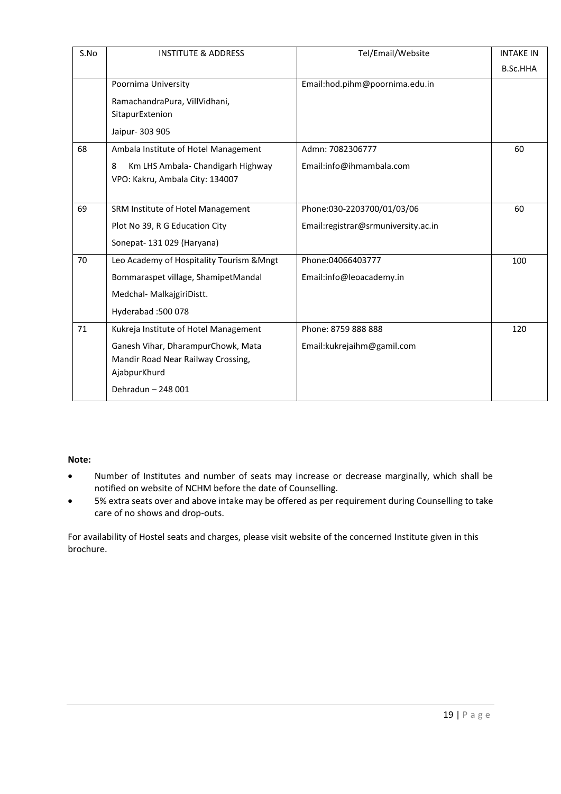| S.No | <b>INSTITUTE &amp; ADDRESS</b>            | Tel/Email/Website                   | <b>INTAKE IN</b> |
|------|-------------------------------------------|-------------------------------------|------------------|
|      |                                           |                                     | <b>B.Sc.HHA</b>  |
|      | Poornima University                       | Email:hod.pihm@poornima.edu.in      |                  |
|      | RamachandraPura, VillVidhani,             |                                     |                  |
|      | SitapurExtenion                           |                                     |                  |
|      | Jaipur- 303 905                           |                                     |                  |
| 68   | Ambala Institute of Hotel Management      | Admn: 7082306777                    | 60               |
|      | Km LHS Ambala- Chandigarh Highway<br>8    | Email:info@ihmambala.com            |                  |
|      | VPO: Kakru, Ambala City: 134007           |                                     |                  |
|      |                                           |                                     |                  |
| 69   | SRM Institute of Hotel Management         | Phone:030-2203700/01/03/06          | 60               |
|      | Plot No 39, R G Education City            | Email:registrar@srmuniversity.ac.in |                  |
|      | Sonepat-131029 (Haryana)                  |                                     |                  |
| 70   | Leo Academy of Hospitality Tourism & Mngt | Phone:04066403777                   | 100              |
|      | Bommaraspet village, ShamipetMandal       | Email:info@leoacademy.in            |                  |
|      | Medchal- MalkajgiriDistt.                 |                                     |                  |
|      | Hyderabad: 500 078                        |                                     |                  |
| 71   | Kukreja Institute of Hotel Management     | Phone: 8759 888 888                 | 120              |
|      | Ganesh Vihar, DharampurChowk, Mata        | Email:kukrejaihm@gamil.com          |                  |
|      | Mandir Road Near Railway Crossing,        |                                     |                  |
|      | AjabpurKhurd                              |                                     |                  |
|      | Dehradun - 248 001                        |                                     |                  |

#### **Note:**

- Number of Institutes and number of seats may increase or decrease marginally, which shall be notified on website of NCHM before the date of Counselling.
- 5% extra seats over and above intake may be offered as per requirement during Counselling to take care of no shows and drop-outs.

For availability of Hostel seats and charges, please visit website of the concerned Institute given in this brochure.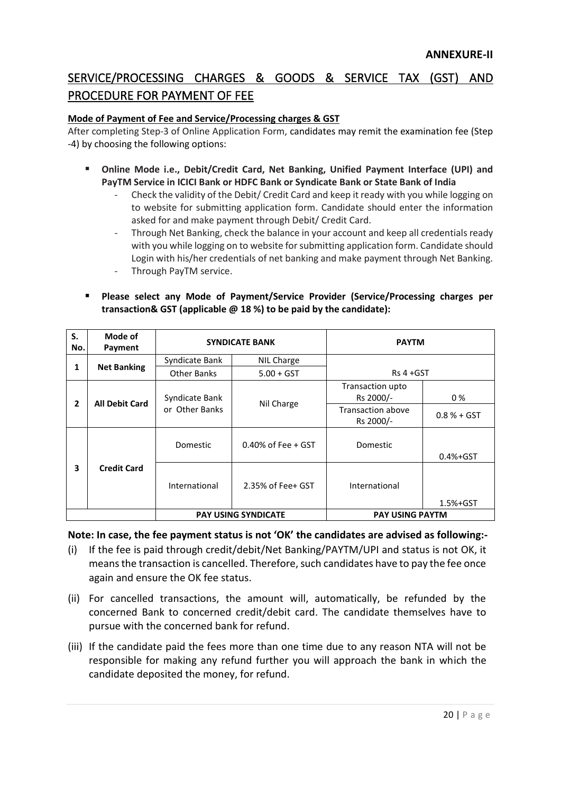### SERVICE/PROCESSING CHARGES & GOODS & SERVICE TAX (GST) AND PROCEDURE FOR PAYMENT OF FEE

#### **Mode of Payment of Fee and Service/Processing charges & GST**

After completing Step-3 of Online Application Form, candidates may remit the examination fee (Step -4) by choosing the following options:

- Online Mode i.e., Debit/Credit Card, Net Banking, Unified Payment Interface (UPI) and **PayTM Service in ICICI Bank or HDFC Bank or Syndicate Bank or State Bank of India**
	- Check the validity of the Debit/ Credit Card and keep it ready with you while logging on to website for submitting application form. Candidate should enter the information asked for and make payment through Debit/ Credit Card.
	- Through Net Banking, check the balance in your account and keep all credentials ready with you while logging on to website for submitting application form. Candidate should Login with his/her credentials of net banking and make payment through Net Banking.
	- Through PayTM service.
- **Please select any Mode of Payment/Service Provider (Service/Processing charges per transaction& GST (applicable @ 18 %) to be paid by the candidate):**

| S.<br>No.      | Mode of<br>Payment         | <b>SYNDICATE BANK</b>                          |                               | <b>PAYTM</b>                          |              |
|----------------|----------------------------|------------------------------------------------|-------------------------------|---------------------------------------|--------------|
|                |                            | Syndicate Bank                                 | NIL Charge                    |                                       |              |
| 1              | <b>Net Banking</b>         | <b>Other Banks</b>                             | $5.00 + GST$                  | Rs 4 +GST                             |              |
| $\overline{2}$ | <b>All Debit Card</b>      | Syndicate Bank<br>Nil Charge<br>or Other Banks | Transaction upto<br>Rs 2000/- | 0%                                    |              |
|                |                            |                                                |                               | <b>Transaction above</b><br>Rs 2000/- | $0.8% + GST$ |
|                |                            | Domestic                                       | 0.40% of Fee $+$ GST          | Domestic                              | $0.4% + GST$ |
| 3              | <b>Credit Card</b>         | International                                  | 2.35% of Fee+ GST             | International                         | $1.5% + GST$ |
|                | <b>PAY USING SYNDICATE</b> |                                                | <b>PAY USING PAYTM</b>        |                                       |              |

**Note: In case, the fee payment status is not 'OK' the candidates are advised as following:-**

- (i) If the fee is paid through credit/debit/Net Banking/PAYTM/UPI and status is not OK, it means the transaction is cancelled. Therefore, such candidates have to pay the fee once again and ensure the OK fee status.
- (ii) For cancelled transactions, the amount will, automatically, be refunded by the concerned Bank to concerned credit/debit card. The candidate themselves have to pursue with the concerned bank for refund.
- (iii) If the candidate paid the fees more than one time due to any reason NTA will not be responsible for making any refund further you will approach the bank in which the candidate deposited the money, for refund.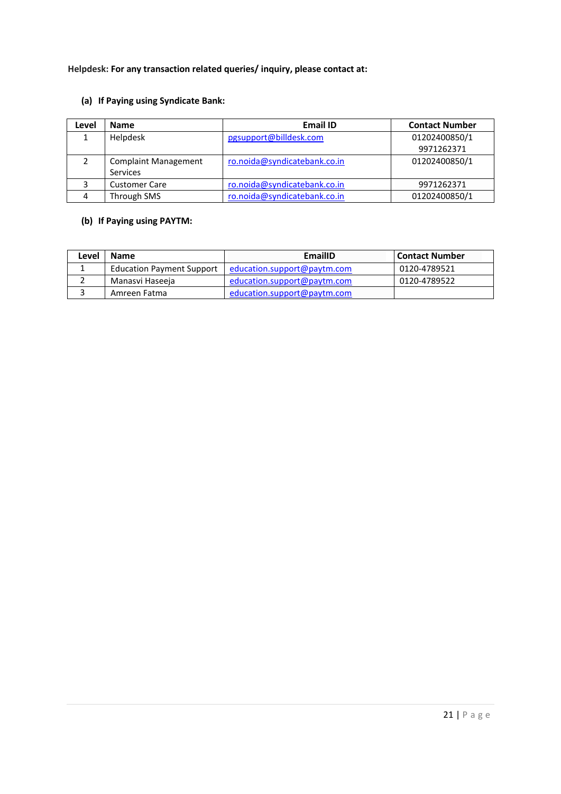#### **Helpdesk: For any transaction related queries/ inquiry, please contact at:**

#### **(a) If Paying using Syndicate Bank:**

| Level | <b>Name</b>                 | <b>Email ID</b>              | <b>Contact Number</b> |
|-------|-----------------------------|------------------------------|-----------------------|
|       | Helpdesk                    | pgsupport@billdesk.com       | 01202400850/1         |
|       |                             |                              | 9971262371            |
|       | <b>Complaint Management</b> | ro.noida@syndicatebank.co.in | 01202400850/1         |
|       | <b>Services</b>             |                              |                       |
| ີ     | <b>Customer Care</b>        | ro.noida@syndicatebank.co.in | 9971262371            |
|       | Through SMS                 | ro.noida@syndicatebank.co.in | 01202400850/1         |

#### **(b) If Paying using PAYTM:**

| Level | <b>Name</b>                      | EmailID                     | l Contact Number |
|-------|----------------------------------|-----------------------------|------------------|
|       | <b>Education Payment Support</b> | education.support@paytm.com | 0120-4789521     |
|       | Manasvi Haseeja                  | education.support@paytm.com | 0120-4789522     |
|       | Amreen Fatma                     | education.support@paytm.com |                  |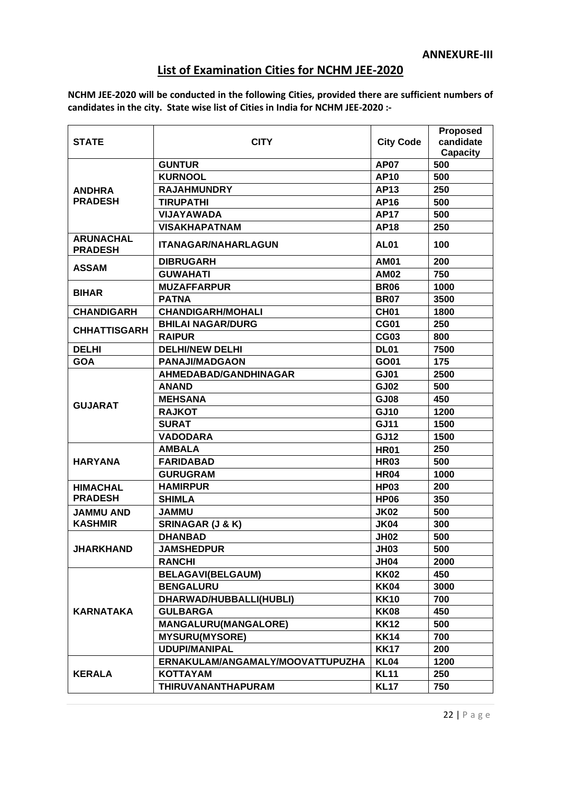### **List of Examination Cities for NCHM JEE-2020**

**NCHM JEE-2020 will be conducted in the following Cities, provided there are sufficient numbers of candidates in the city. State wise list of Cities in India for NCHM JEE-2020 :-**

|                                    |                                  | <b>City Code</b> | <b>Proposed</b> |
|------------------------------------|----------------------------------|------------------|-----------------|
| <b>STATE</b>                       | <b>CITY</b>                      |                  | candidate       |
|                                    |                                  |                  | <b>Capacity</b> |
|                                    | <b>GUNTUR</b>                    | <b>AP07</b>      | 500             |
|                                    | <b>KURNOOL</b>                   | <b>AP10</b>      | 500             |
| <b>ANDHRA</b>                      | <b>RAJAHMUNDRY</b>               | <b>AP13</b>      | 250             |
| <b>PRADESH</b>                     | <b>TIRUPATHI</b>                 | <b>AP16</b>      | 500             |
|                                    | <b>VIJAYAWADA</b>                | <b>AP17</b>      | 500             |
|                                    | <b>VISAKHAPATNAM</b>             | <b>AP18</b>      | 250             |
| <b>ARUNACHAL</b><br><b>PRADESH</b> | <b>ITANAGAR/NAHARLAGUN</b>       | <b>AL01</b>      | 100             |
| <b>ASSAM</b>                       | <b>DIBRUGARH</b>                 | <b>AM01</b>      | 200             |
|                                    | <b>GUWAHATI</b>                  | <b>AM02</b>      | 750             |
|                                    | <b>MUZAFFARPUR</b>               | <b>BR06</b>      | 1000            |
| <b>BIHAR</b>                       | <b>PATNA</b>                     | <b>BR07</b>      | 3500            |
| <b>CHANDIGARH</b>                  | <b>CHANDIGARH/MOHALI</b>         | CH <sub>01</sub> | 1800            |
|                                    | <b>BHILAI NAGAR/DURG</b>         | <b>CG01</b>      | 250             |
| <b>CHHATTISGARH</b>                | <b>RAIPUR</b>                    | <b>CG03</b>      | 800             |
| <b>DELHI</b>                       | <b>DELHI/NEW DELHI</b>           | <b>DL01</b>      | 7500            |
| <b>GOA</b>                         | <b>PANAJI/MADGAON</b>            | GO01             | 175             |
|                                    | AHMEDABAD/GANDHINAGAR            | <b>GJ01</b>      | 2500            |
|                                    | <b>ANAND</b>                     | <b>GJ02</b>      | 500             |
|                                    | <b>MEHSANA</b>                   | <b>GJ08</b>      | 450             |
| <b>GUJARAT</b>                     | <b>RAJKOT</b>                    | <b>GJ10</b>      | 1200            |
|                                    | <b>SURAT</b>                     | <b>GJ11</b>      | 1500            |
|                                    | <b>VADODARA</b>                  | <b>GJ12</b>      | 1500            |
|                                    | <b>AMBALA</b>                    | <b>HR01</b>      | 250             |
| <b>HARYANA</b>                     | <b>FARIDABAD</b>                 | <b>HR03</b>      | 500             |
|                                    | <b>GURUGRAM</b>                  | <b>HR04</b>      | 1000            |
| <b>HIMACHAL</b>                    | <b>HAMIRPUR</b>                  | <b>HP03</b>      | 200             |
| <b>PRADESH</b>                     | <b>SHIMLA</b>                    | <b>HP06</b>      | 350             |
| <b>JAMMU AND</b>                   | <b>JAMMU</b>                     | <b>JK02</b>      | 500             |
| <b>KASHMIR</b>                     | <b>SRINAGAR (J &amp; K)</b>      | <b>JK04</b>      | 300             |
|                                    | <b>DHANBAD</b>                   | <b>JH02</b>      | 500             |
| <b>JHARKHAND</b>                   | <b>JAMSHEDPUR</b>                | <b>JH03</b>      | 500             |
|                                    | <b>RANCHI</b>                    | <b>JH04</b>      | 2000            |
|                                    | <b>BELAGAVI(BELGAUM)</b>         | <b>KK02</b>      | 450             |
|                                    | <b>BENGALURU</b>                 | <b>KK04</b>      | 3000            |
|                                    | DHARWAD/HUBBALLI(HUBLI)          | <b>KK10</b>      | 700             |
| <b>KARNATAKA</b>                   | <b>GULBARGA</b>                  | <b>KK08</b>      | 450             |
|                                    | <b>MANGALURU(MANGALORE)</b>      | <b>KK12</b>      | 500             |
|                                    | <b>MYSURU(MYSORE)</b>            | <b>KK14</b>      | 700             |
|                                    | <b>UDUPI/MANIPAL</b>             | <b>KK17</b>      | 200             |
|                                    | ERNAKULAM/ANGAMALY/MOOVATTUPUZHA | <b>KL04</b>      | 1200            |
| <b>KERALA</b>                      | <b>KOTTAYAM</b>                  | <b>KL11</b>      | 250             |
|                                    | THIRUVANANTHAPURAM               | <b>KL17</b>      | 750             |
|                                    |                                  |                  |                 |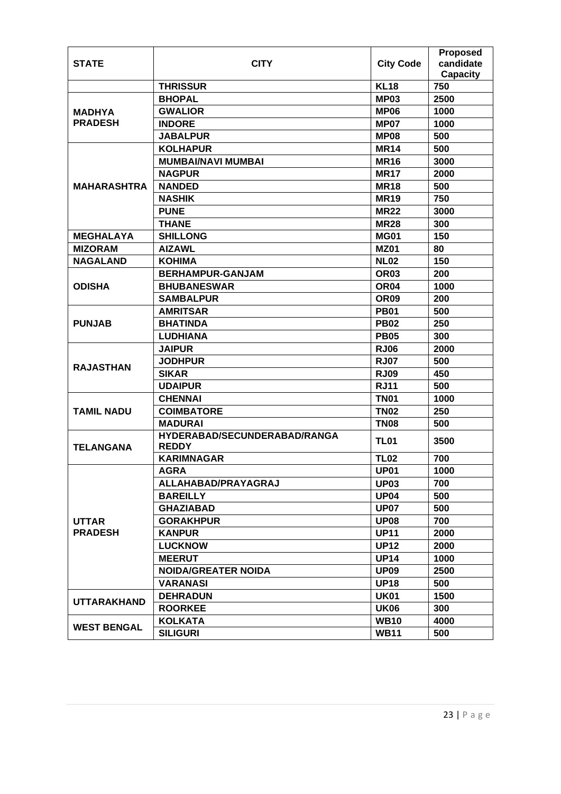| <b>STATE</b>       | <b>CITY</b>                                  | <b>City Code</b> | <b>Proposed</b><br>candidate |
|--------------------|----------------------------------------------|------------------|------------------------------|
|                    |                                              |                  | <b>Capacity</b>              |
|                    | <b>THRISSUR</b>                              | <b>KL18</b>      | 750                          |
|                    | <b>BHOPAL</b>                                | <b>MP03</b>      | 2500                         |
| <b>MADHYA</b>      | <b>GWALIOR</b>                               | <b>MP06</b>      | 1000                         |
| <b>PRADESH</b>     | <b>INDORE</b>                                | <b>MP07</b>      | 1000                         |
|                    | <b>JABALPUR</b>                              | <b>MP08</b>      | 500                          |
|                    | <b>KOLHAPUR</b>                              | <b>MR14</b>      | 500                          |
|                    | <b>MUMBAI/NAVI MUMBAI</b>                    | <b>MR16</b>      | 3000                         |
|                    | <b>NAGPUR</b>                                | <b>MR17</b>      | 2000                         |
| <b>MAHARASHTRA</b> | <b>NANDED</b>                                | <b>MR18</b>      | 500                          |
|                    | <b>NASHIK</b>                                | <b>MR19</b>      | 750                          |
|                    | <b>PUNE</b>                                  | <b>MR22</b>      | 3000                         |
|                    | <b>THANE</b>                                 | <b>MR28</b>      | 300                          |
| <b>MEGHALAYA</b>   | <b>SHILLONG</b>                              | <b>MG01</b>      | 150                          |
| <b>MIZORAM</b>     | <b>AIZAWL</b>                                | <b>MZ01</b>      | 80                           |
| <b>NAGALAND</b>    | <b>KOHIMA</b>                                | <b>NL02</b>      | 150                          |
|                    | <b>BERHAMPUR-GANJAM</b>                      | <b>OR03</b>      | 200                          |
| <b>ODISHA</b>      | <b>BHUBANESWAR</b>                           | OR <sub>04</sub> | 1000                         |
|                    | <b>SAMBALPUR</b>                             | OR <sub>09</sub> | 200                          |
|                    | <b>AMRITSAR</b>                              | <b>PB01</b>      | 500                          |
| <b>PUNJAB</b>      | <b>BHATINDA</b>                              | <b>PB02</b>      | 250                          |
|                    | <b>LUDHIANA</b>                              | <b>PB05</b>      | 300                          |
|                    | <b>JAIPUR</b>                                | <b>RJ06</b>      | 2000                         |
| <b>RAJASTHAN</b>   | <b>JODHPUR</b>                               | <b>RJ07</b>      | 500                          |
|                    | <b>SIKAR</b>                                 | <b>RJ09</b>      | 450                          |
|                    | <b>UDAIPUR</b>                               | <b>RJ11</b>      | 500                          |
|                    | <b>CHENNAI</b>                               | <b>TN01</b>      | 1000                         |
| <b>TAMIL NADU</b>  | <b>COIMBATORE</b>                            | <b>TN02</b>      | 250                          |
|                    | <b>MADURAI</b>                               | <b>TN08</b>      | 500                          |
| <b>TELANGANA</b>   | HYDERABAD/SECUNDERABAD/RANGA<br><b>REDDY</b> | <b>TL01</b>      | 3500                         |
|                    | <b>KARIMNAGAR</b>                            | <b>TL02</b>      | 700                          |
|                    | <b>AGRA</b>                                  | UP <sub>01</sub> | 1000                         |
|                    | ALLAHABAD/PRAYAGRAJ                          | <b>UP03</b>      | 700                          |
|                    | <b>BAREILLY</b>                              | <b>UP04</b>      | 500                          |
|                    | <b>GHAZIABAD</b>                             | <b>UP07</b>      | 500                          |
| <b>UTTAR</b>       | <b>GORAKHPUR</b>                             | <b>UP08</b>      | 700                          |
| <b>PRADESH</b>     | <b>KANPUR</b>                                | <b>UP11</b>      | 2000                         |
|                    | <b>LUCKNOW</b>                               | <b>UP12</b>      | 2000                         |
|                    | <b>MEERUT</b>                                | <b>UP14</b>      | 1000                         |
|                    | <b>NOIDA/GREATER NOIDA</b>                   | <b>UP09</b>      | 2500                         |
|                    | <b>VARANASI</b>                              | <b>UP18</b>      | 500                          |
|                    | <b>DEHRADUN</b>                              | <b>UK01</b>      | 1500                         |
| <b>UTTARAKHAND</b> | <b>ROORKEE</b>                               | <b>UK06</b>      | 300                          |
|                    | <b>KOLKATA</b>                               | <b>WB10</b>      | 4000                         |
| <b>WEST BENGAL</b> | <b>SILIGURI</b>                              | <b>WB11</b>      | 500                          |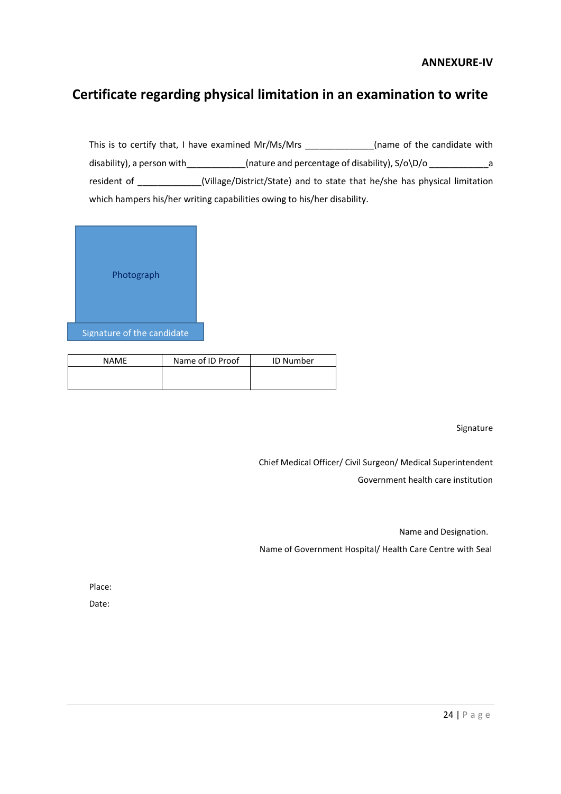#### **ANNEXURE-IV**

### **Certificate regarding physical limitation in an examination to write**

This is to certify that, I have examined Mr/Ms/Mrs \_\_\_\_\_\_\_\_\_\_\_\_(name of the candidate with disability), a person with\_\_\_\_\_\_\_\_\_\_\_\_(nature and percentage of disability), S/o\D/o \_\_\_\_\_\_\_\_\_\_\_\_\_\_\_a resident of \_\_\_\_\_\_\_\_\_\_\_\_\_(Village/District/State) and to state that he/she has physical limitation which hampers his/her writing capabilities owing to his/her disability.



| <b>NAMF</b> | Name of ID Proof | <b>ID Number</b> |
|-------------|------------------|------------------|
|             |                  |                  |
|             |                  |                  |

Signature

Chief Medical Officer/ Civil Surgeon/ Medical Superintendent Government health care institution

Name and Designation.

Name of Government Hospital/ Health Care Centre with Seal

Place:

Date: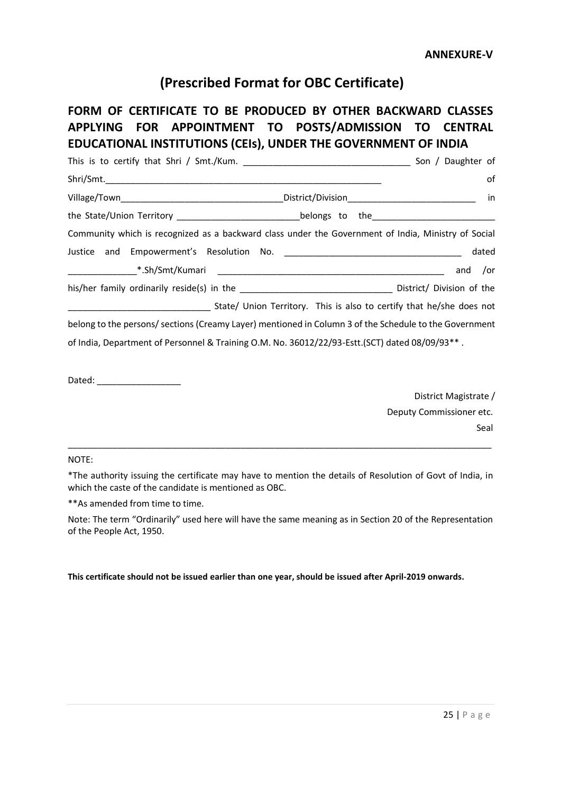**ANNEXURE-V**

### **(Prescribed Format for OBC Certificate)**

### **FORM OF CERTIFICATE TO BE PRODUCED BY OTHER BACKWARD CLASSES APPLYING FOR APPOINTMENT TO POSTS/ADMISSION TO CENTRAL EDUCATIONAL INSTITUTIONS (CEIs), UNDER THE GOVERNMENT OF INDIA**

|                                                                                                        | Son / Daughter of |
|--------------------------------------------------------------------------------------------------------|-------------------|
| Shri/Smt.                                                                                              | οf                |
|                                                                                                        | in                |
| the State/Union Territory _________________________________belongs to the___________________________   |                   |
| Community which is recognized as a backward class under the Government of India, Ministry of Social    |                   |
|                                                                                                        | dated             |
|                                                                                                        | and /or           |
|                                                                                                        |                   |
|                                                                                                        |                   |
| belong to the persons/ sections (Creamy Layer) mentioned in Column 3 of the Schedule to the Government |                   |
| of India, Department of Personnel & Training O.M. No. 36012/22/93-Estt.(SCT) dated 08/09/93**.         |                   |

Dated: \_\_\_\_\_\_\_\_\_\_\_\_\_\_\_\_\_

District Magistrate / Deputy Commissioner etc. Seal

#### NOTE:

\*The authority issuing the certificate may have to mention the details of Resolution of Govt of India, in which the caste of the candidate is mentioned as OBC.

 $\_$  , and the set of the set of the set of the set of the set of the set of the set of the set of the set of the set of the set of the set of the set of the set of the set of the set of the set of the set of the set of th

\*\*As amended from time to time.

Note: The term "Ordinarily" used here will have the same meaning as in Section 20 of the Representation of the People Act, 1950.

**This certificate should not be issued earlier than one year, should be issued after April-2019 onwards.**